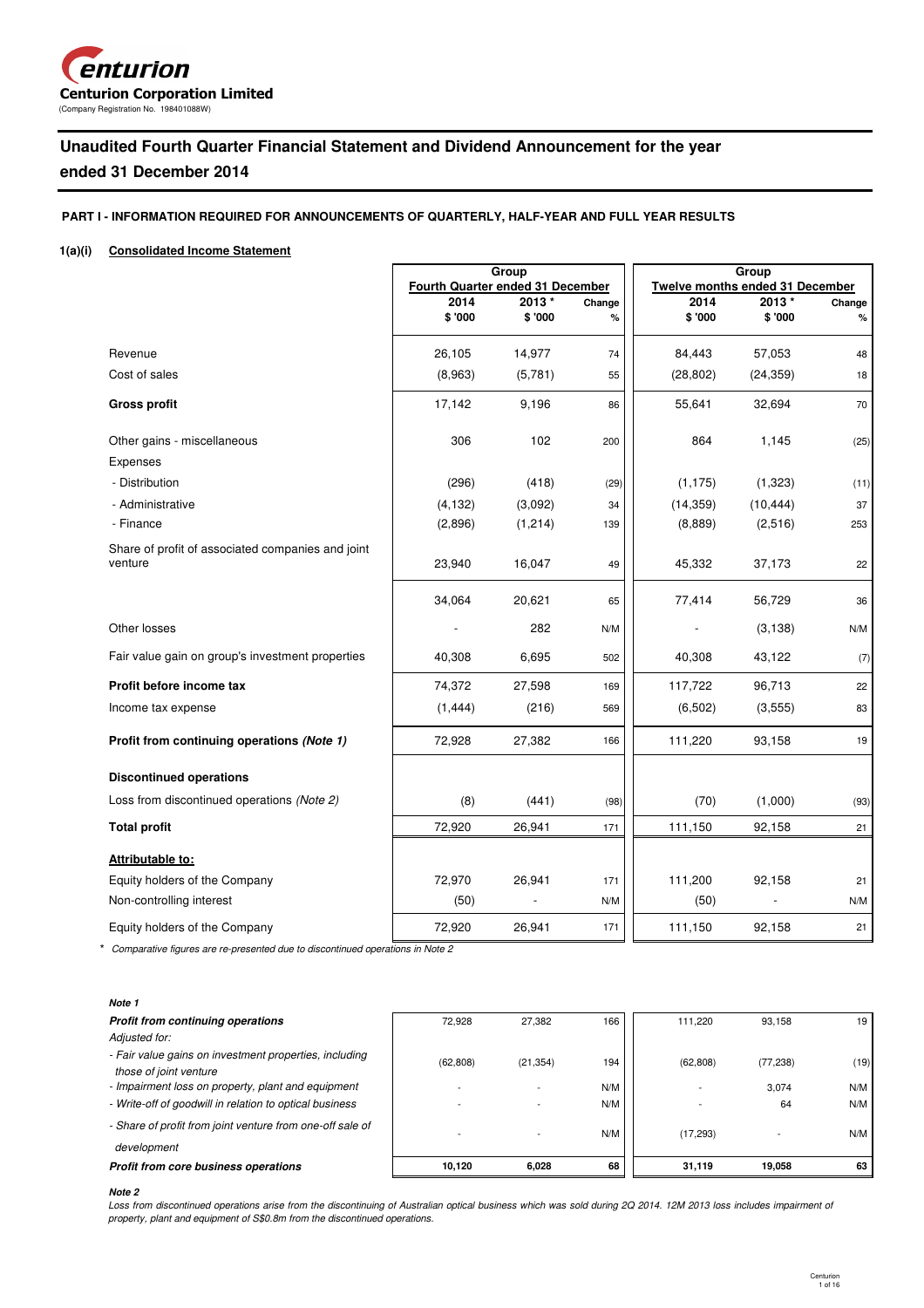

# **Unaudited Fourth Quarter Financial Statement and Dividend Announcement for the year**

# **ended 31 December 2014**

# **PART I - INFORMATION REQUIRED FOR ANNOUNCEMENTS OF QUARTERLY, HALF-YEAR AND FULL YEAR RESULTS**

### **1(a)(i) Consolidated Income Statement**

|                                                              | Group                            |          |        | Group                                  |           |        |  |
|--------------------------------------------------------------|----------------------------------|----------|--------|----------------------------------------|-----------|--------|--|
|                                                              | Fourth Quarter ended 31 December |          |        | <b>Twelve months ended 31 December</b> |           |        |  |
|                                                              | 2014                             | 2013 *   | Change | 2014                                   | 2013*     | Change |  |
|                                                              | \$'000                           | \$'000   | $\%$   | \$'000                                 | \$'000    | $\%$   |  |
| Revenue                                                      | 26,105                           | 14,977   | 74     | 84,443                                 | 57,053    | 48     |  |
| Cost of sales                                                | (8,963)                          | (5,781)  | 55     | (28, 802)                              | (24, 359) | 18     |  |
| <b>Gross profit</b>                                          | 17,142                           | 9,196    | 86     | 55,641                                 | 32,694    | 70     |  |
| Other gains - miscellaneous                                  | 306                              | 102      | 200    | 864                                    | 1,145     | (25)   |  |
| Expenses                                                     |                                  |          |        |                                        |           |        |  |
| - Distribution                                               | (296)                            | (418)    | (29)   | (1, 175)                               | (1, 323)  | (11)   |  |
| - Administrative                                             | (4, 132)                         | (3,092)  | 34     | (14, 359)                              | (10, 444) | 37     |  |
| - Finance                                                    | (2,896)                          | (1, 214) | 139    | (8,889)                                | (2,516)   | 253    |  |
| Share of profit of associated companies and joint<br>venture | 23,940                           | 16,047   | 49     | 45,332                                 | 37,173    | 22     |  |
|                                                              | 34,064                           | 20,621   | 65     | 77,414                                 | 56,729    | 36     |  |
| Other losses                                                 |                                  | 282      | N/M    |                                        | (3, 138)  | N/M    |  |
| Fair value gain on group's investment properties             | 40,308                           | 6,695    | 502    | 40,308                                 | 43,122    | (7)    |  |
| Profit before income tax                                     | 74,372                           | 27,598   | 169    | 117,722                                | 96,713    | 22     |  |
| Income tax expense                                           | (1, 444)                         | (216)    | 569    | (6, 502)                               | (3, 555)  | 83     |  |
| Profit from continuing operations (Note 1)                   | 72,928                           | 27,382   | 166    | 111,220                                | 93,158    | 19     |  |
| <b>Discontinued operations</b>                               |                                  |          |        |                                        |           |        |  |
| Loss from discontinued operations (Note 2)                   | (8)                              | (441)    | (98)   | (70)                                   | (1,000)   | (93)   |  |
| <b>Total profit</b>                                          | 72,920                           | 26,941   | 171    | 111,150                                | 92,158    | 21     |  |
| Attributable to:                                             |                                  |          |        |                                        |           |        |  |
| Equity holders of the Company                                | 72,970                           | 26,941   | 171    | 111,200                                | 92,158    | 21     |  |
| Non-controlling interest                                     | (50)                             |          | N/M    | (50)                                   |           | N/M    |  |
| Equity holders of the Company                                | 72,920                           | 26,941   | 171    | 111,150                                | 92,158    | 21     |  |

\* *Comparative figures are re-presented due to discontinued operations in Note 2*

### **Note 1**

| Profit from core business operations                                    | 10.120    | 6.028     | 68  | 31.119    | 19.058    | 63   |
|-------------------------------------------------------------------------|-----------|-----------|-----|-----------|-----------|------|
| development                                                             |           |           |     |           |           |      |
| - Share of profit from joint venture from one-off sale of               |           |           | N/M | (17, 293) |           | N/M  |
| - Write-off of goodwill in relation to optical business                 |           |           | N/M |           | 64        | N/M  |
| - Impairment loss on property, plant and equipment                      |           |           | N/M |           | 3.074     | N/M  |
| those of joint venture                                                  | (62, 808) | (21, 354) | 194 | (62, 808) | (77, 238) | (19) |
| Adjusted for:<br>- Fair value gains on investment properties, including |           |           |     |           |           |      |
| <b>Profit from continuing operations</b>                                | 72.928    | 27.382    | 166 | 111.220   | 93.158    | 19   |
| ,,,,,,                                                                  |           |           |     |           |           |      |

# **Note 2**

*Loss from discontinued operations arise from the discontinuing of Australian optical business which was sold during 2Q 2014. 12M 2013 loss includes impairment of property, plant and equipment of S\$0.8m from the discontinued operations.*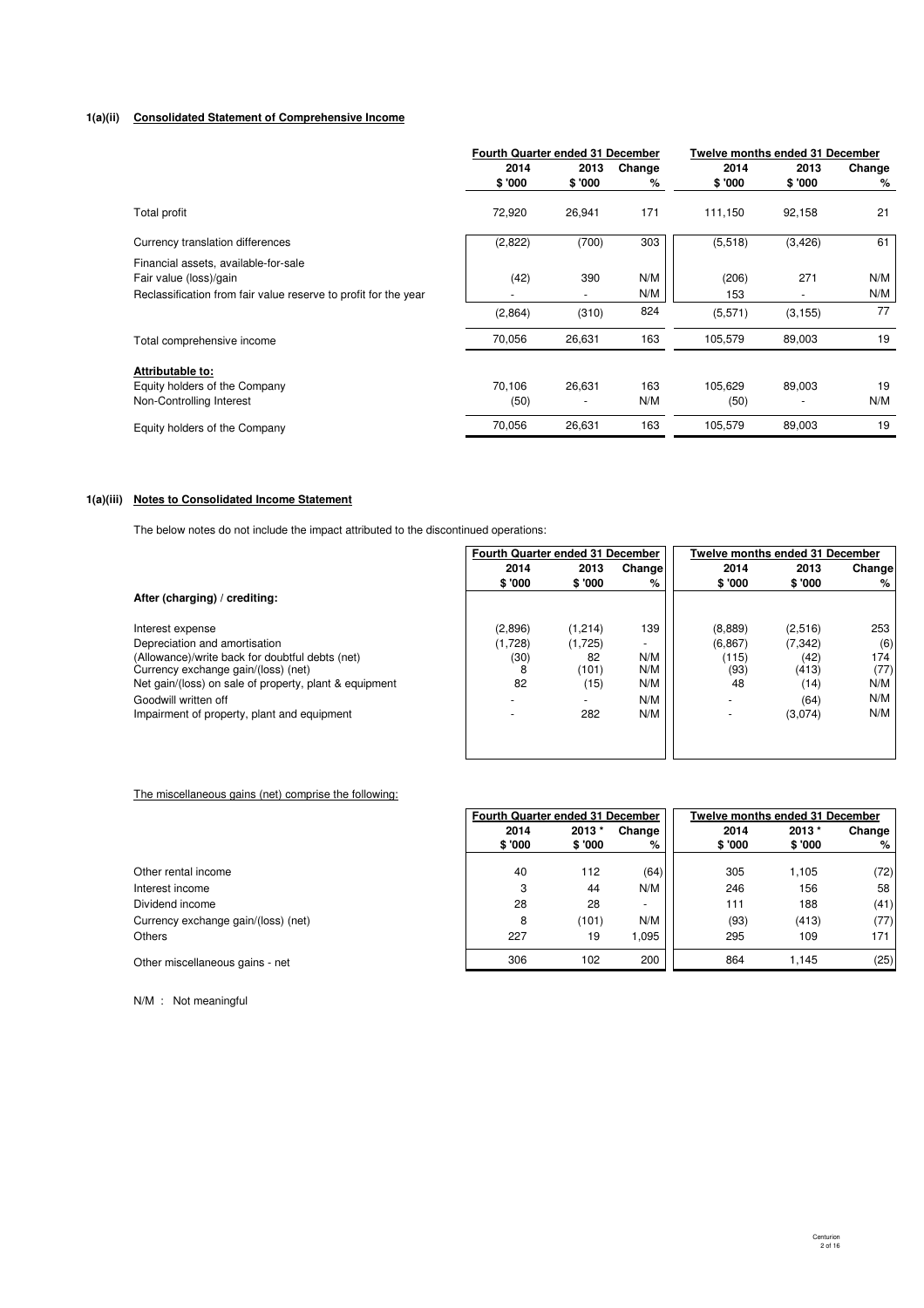#### **1(a)(ii) Consolidated Statement of Comprehensive Income**

|                                                                 | <b>Fourth Quarter ended 31 December</b> |                          |        | Twelve months ended 31 December |                          |        |
|-----------------------------------------------------------------|-----------------------------------------|--------------------------|--------|---------------------------------|--------------------------|--------|
|                                                                 | 2014                                    | 2013                     | Change | 2014                            | 2013                     | Change |
|                                                                 | \$'000                                  | \$'000                   | %      | \$'000                          | \$ '000                  | %      |
| Total profit                                                    | 72,920                                  | 26,941                   | 171    | 111,150                         | 92,158                   | 21     |
| Currency translation differences                                | (2,822)                                 | (700)                    | 303    | (5.518)                         | (3, 426)                 | 61     |
| Financial assets, available-for-sale                            |                                         |                          |        |                                 |                          |        |
| Fair value (loss)/gain                                          | (42)                                    | 390                      | N/M    | (206)                           | 271                      | N/M    |
| Reclassification from fair value reserve to profit for the year |                                         | $\overline{\phantom{0}}$ | N/M    | 153                             | $\overline{\phantom{a}}$ | N/M    |
|                                                                 | (2,864)                                 | (310)                    | 824    | (5,571)                         | (3, 155)                 | 77     |
| Total comprehensive income                                      | 70,056                                  | 26,631                   | 163    | 105,579                         | 89,003                   | 19     |
| Attributable to:                                                |                                         |                          |        |                                 |                          |        |
| Equity holders of the Company                                   | 70,106                                  | 26,631                   | 163    | 105,629                         | 89,003                   | 19     |
| Non-Controlling Interest                                        | (50)                                    | ٠                        | N/M    | (50)                            |                          | N/M    |
| Equity holders of the Company                                   | 70,056                                  | 26,631                   | 163    | 105,579                         | 89,003                   | 19     |

# **1(a)(iii) Notes to Consolidated Income Statement**

The below notes do not include the impact attributed to the discontinued operations:

|                                                        | Fourth Quarter ended 31 December |         |                          | <b>Twelve months ended 31 December</b> |          |         |
|--------------------------------------------------------|----------------------------------|---------|--------------------------|----------------------------------------|----------|---------|
|                                                        | 2014                             | 2013    | Change                   | 2014                                   | 2013     | Changel |
|                                                        | \$ '000                          | \$ '000 | %                        | \$ '000                                | \$'000   | %       |
| After (charging) / crediting:                          |                                  |         |                          |                                        |          |         |
| Interest expense                                       | (2,896)                          | (1,214) | 139                      | (8,889)                                | (2,516)  | 253     |
| Depreciation and amortisation                          | (1,728)                          | (1,725) | $\overline{\phantom{a}}$ | (6, 867)                               | (7, 342) | (6)     |
| (Allowance)/write back for doubtful debts (net)        | (30)                             | 82      | N/M                      | (115)                                  | (42)     | 174     |
| Currency exchange gain/(loss) (net)                    | 8                                | (101)   | N/M                      | (93)                                   | (413)    | (77)    |
| Net gain/(loss) on sale of property, plant & equipment | 82                               | (15)    | N/M                      | 48                                     | (14)     | N/M     |
| Goodwill written off                                   |                                  |         | N/M                      |                                        | (64)     | N/M     |
| Impairment of property, plant and equipment            |                                  | 282     | N/M                      |                                        | (3,074)  | N/M     |
|                                                        |                                  |         |                          |                                        |          |         |
|                                                        |                                  |         |                          |                                        |          |         |

### The miscellaneous gains (net) comprise the following:

|                                     |        | <b>Fourth Quarter ended 31 December</b> |        |         | <b>Twelve months ended 31 December</b> |        |  |
|-------------------------------------|--------|-----------------------------------------|--------|---------|----------------------------------------|--------|--|
|                                     | 2014   | 2013*                                   | Change | 2014    | 2013*                                  | Change |  |
|                                     | \$'000 | \$ '000                                 | %      | \$ '000 | \$ '000                                | %      |  |
| Other rental income                 | 40     | 112                                     | (64)   | 305     | 1,105                                  | (72)   |  |
| Interest income                     | 3      | 44                                      | N/M    | 246     | 156                                    | 58     |  |
| Dividend income                     | 28     | 28                                      | $\sim$ | 111     | 188                                    | (41)   |  |
| Currency exchange gain/(loss) (net) | 8      | (101)                                   | N/M    | (93)    | (413)                                  | (77)   |  |
| <b>Others</b>                       | 227    | 19                                      | 1.095  | 295     | 109                                    | 171    |  |
| Other miscellaneous gains - net     | 306    | 102                                     | 200    | 864     | 1.145                                  | (25)   |  |

N/M : Not meaningful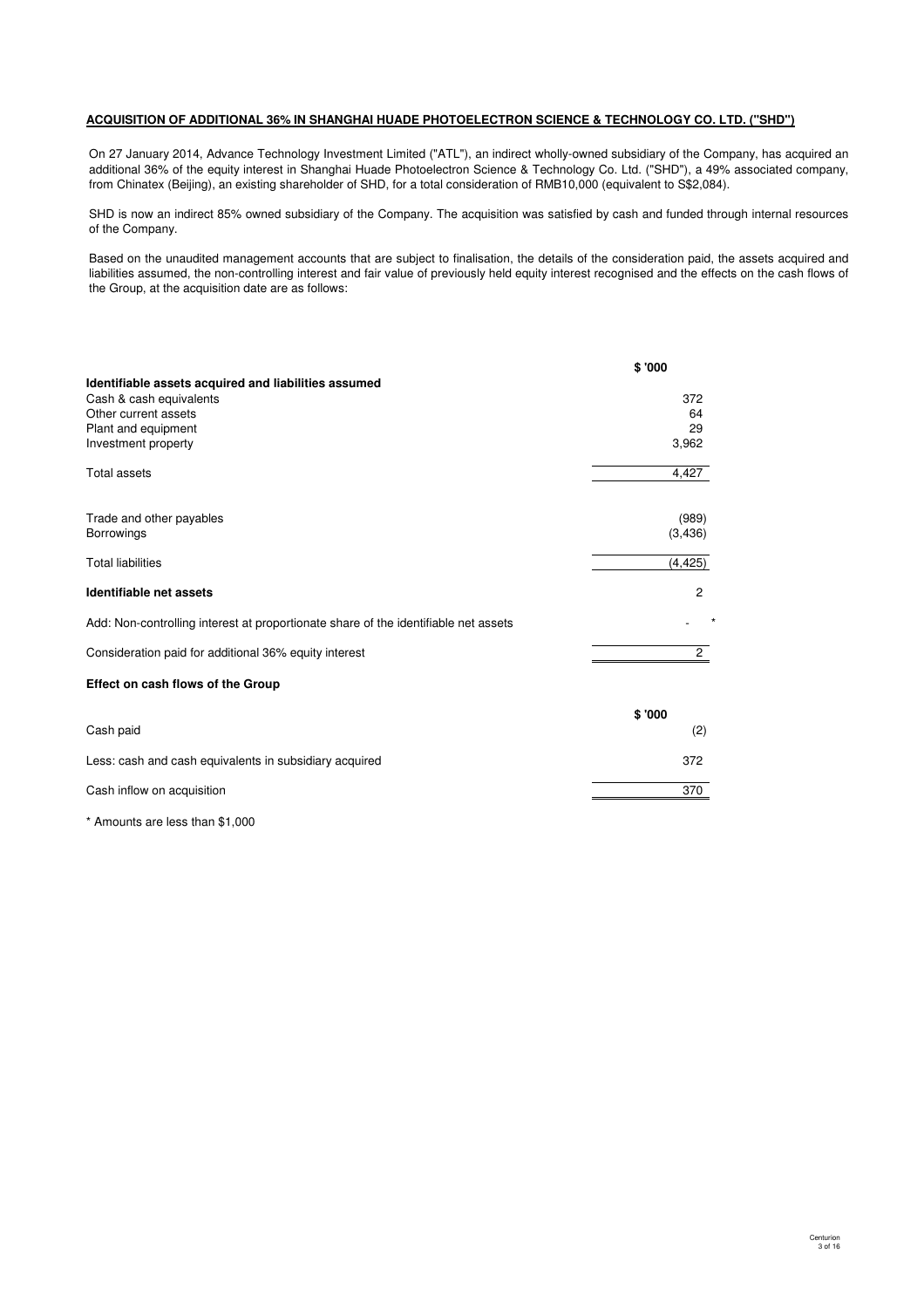### **ACQUISITION OF ADDITIONAL 36% IN SHANGHAI HUADE PHOTOELECTRON SCIENCE & TECHNOLOGY CO. LTD. ("SHD")**

On 27 January 2014, Advance Technology Investment Limited ("ATL"), an indirect wholly-owned subsidiary of the Company, has acquired an additional 36% of the equity interest in Shanghai Huade Photoelectron Science & Technology Co. Ltd. ("SHD"), a 49% associated company, from Chinatex (Beijing), an existing shareholder of SHD, for a total consideration of RMB10,000 (equivalent to S\$2,084).

SHD is now an indirect 85% owned subsidiary of the Company. The acquisition was satisfied by cash and funded through internal resources of the Company.

Based on the unaudited management accounts that are subject to finalisation, the details of the consideration paid, the assets acquired and liabilities assumed, the non-controlling interest and fair value of previously held equity interest recognised and the effects on the cash flows of the Group, at the acquisition date are as follows:

|                                                                                     | \$'000         |
|-------------------------------------------------------------------------------------|----------------|
| Identifiable assets acquired and liabilities assumed                                |                |
| Cash & cash equivalents                                                             | 372            |
| Other current assets                                                                | 64<br>29       |
| Plant and equipment<br>Investment property                                          | 3,962          |
| <b>Total assets</b>                                                                 | 4,427          |
| Trade and other payables                                                            | (989)          |
| <b>Borrowings</b>                                                                   | (3, 436)       |
| <b>Total liabilities</b>                                                            | (4, 425)       |
| Identifiable net assets                                                             | 2              |
| Add: Non-controlling interest at proportionate share of the identifiable net assets |                |
| Consideration paid for additional 36% equity interest                               | $\overline{c}$ |
| Effect on cash flows of the Group                                                   |                |
|                                                                                     | \$'000         |
| Cash paid                                                                           | (2)            |
| Less: cash and cash equivalents in subsidiary acquired                              | 372            |
| Cash inflow on acquisition                                                          | 370            |
| * Amounts are less than \$1,000                                                     |                |

Centurion 3 of 16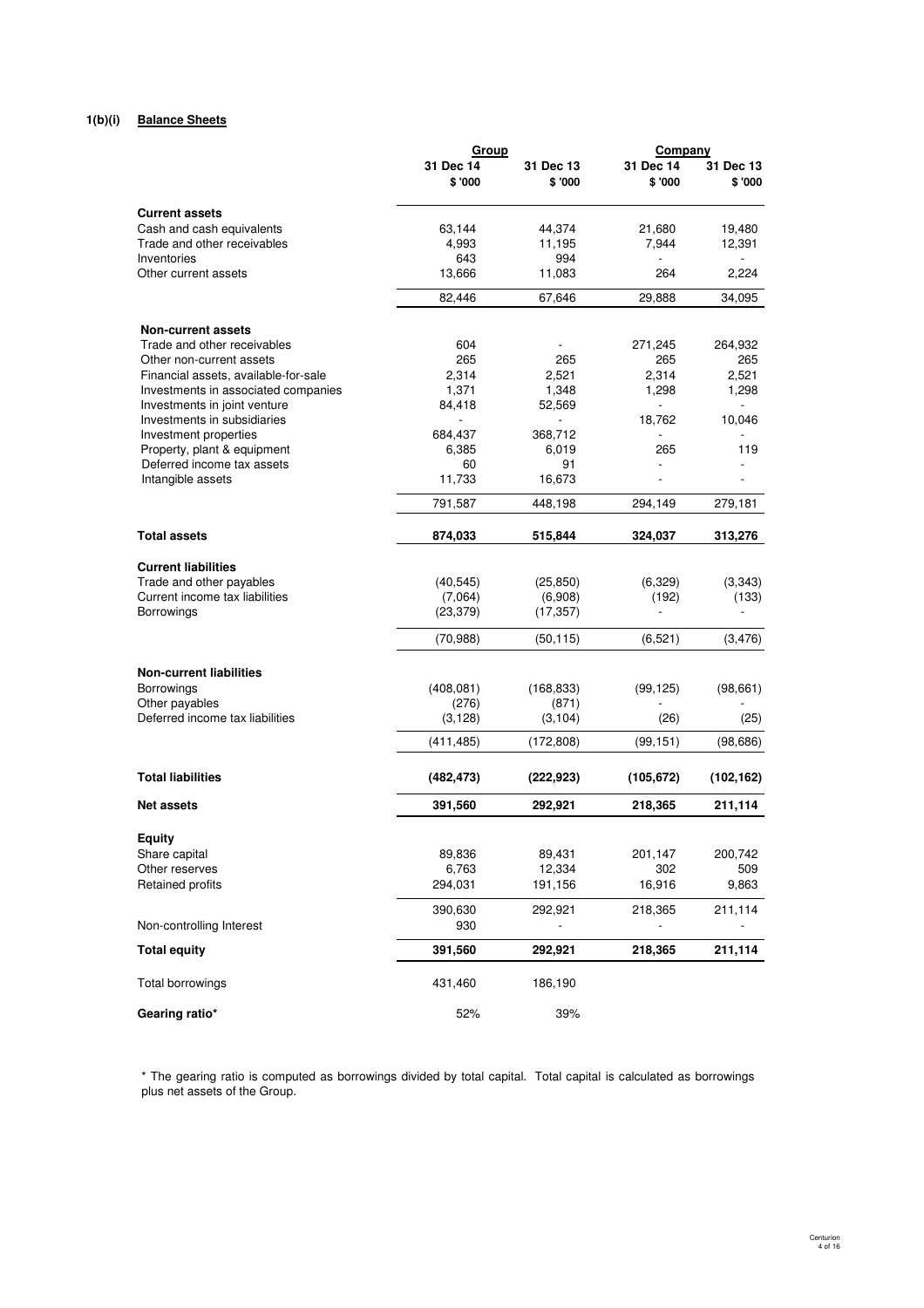# **1(b)(i) Balance Sheets**

|                                                           | Group          |              | Company               |               |  |
|-----------------------------------------------------------|----------------|--------------|-----------------------|---------------|--|
|                                                           | 31 Dec 14      | 31 Dec 13    | 31 Dec 14             | 31 Dec 13     |  |
|                                                           | \$'000         | \$'000       | \$'000                | \$'000        |  |
| <b>Current assets</b>                                     |                |              |                       |               |  |
| Cash and cash equivalents                                 | 63,144         | 44,374       | 21,680                | 19,480        |  |
| Trade and other receivables                               | 4,993          | 11,195       | 7,944                 | 12,391        |  |
| Inventories                                               | 643            | 994          |                       |               |  |
| Other current assets                                      | 13,666         | 11,083       | 264                   | 2,224         |  |
|                                                           | 82,446         | 67,646       | 29,888                | 34,095        |  |
| <b>Non-current assets</b>                                 |                |              |                       |               |  |
| Trade and other receivables                               | 604            |              | 271,245               | 264,932       |  |
| Other non-current assets                                  | 265            | 265          | 265                   | 265           |  |
| Financial assets, available-for-sale                      | 2,314          | 2,521        | 2,314                 | 2,521         |  |
| Investments in associated companies                       | 1,371          | 1,348        | 1,298                 | 1,298         |  |
| Investments in joint venture                              | 84,418         | 52,569       | L.                    | L,            |  |
| Investments in subsidiaries                               |                |              | 18,762                | 10,046        |  |
| Investment properties                                     | 684,437        | 368,712      |                       |               |  |
| Property, plant & equipment<br>Deferred income tax assets | 6,385          | 6,019        | 265<br>$\overline{a}$ | 119<br>$\sim$ |  |
| Intangible assets                                         | 60<br>11,733   | 91<br>16,673 |                       |               |  |
|                                                           |                |              |                       |               |  |
|                                                           | 791,587        | 448,198      | 294,149               | 279,181       |  |
| <b>Total assets</b>                                       | 874,033        | 515,844      | 324,037               | 313,276       |  |
| <b>Current liabilities</b>                                |                |              |                       |               |  |
| Trade and other payables                                  | (40, 545)      | (25, 850)    | (6, 329)              | (3,343)       |  |
| Current income tax liabilities                            | (7,064)        | (6,908)      | (192)                 | (133)         |  |
| <b>Borrowings</b>                                         | (23, 379)      | (17, 357)    | $\overline{a}$        |               |  |
|                                                           | (70, 988)      | (50, 115)    | (6, 521)              | (3, 476)      |  |
| <b>Non-current liabilities</b>                            |                |              |                       |               |  |
| <b>Borrowings</b>                                         | (408, 081)     | (168, 833)   | (99, 125)             | (98, 661)     |  |
| Other payables                                            | (276)          | (871)        |                       |               |  |
| Deferred income tax liabilities                           | (3, 128)       | (3, 104)     | (26)                  | (25)          |  |
|                                                           | (411, 485)     | (172, 808)   | (99, 151)             | (98, 686)     |  |
|                                                           |                |              |                       |               |  |
| <b>Total liabilities</b>                                  | (482, 473)     | (222, 923)   | (105, 672)            | (102, 162)    |  |
| <b>Net assets</b>                                         | 391,560        | 292,921      | 218,365               | 211,114       |  |
| <b>Equity</b>                                             |                |              |                       |               |  |
| Share capital                                             | 89,836         | 89,431       | 201,147               | 200,742       |  |
| Other reserves                                            | 6,763          | 12,334       | 302                   | 509           |  |
| Retained profits                                          | 294,031        | 191,156      | 16,916                | 9,863         |  |
|                                                           |                |              |                       |               |  |
| Non-controlling Interest                                  | 390,630<br>930 | 292,921      | 218,365               | 211,114       |  |
|                                                           |                |              |                       |               |  |
| <b>Total equity</b>                                       | 391,560        | 292,921      | 218,365               | 211,114       |  |
| Total borrowings                                          | 431,460        | 186,190      |                       |               |  |
| Gearing ratio*                                            | 52%            | 39%          |                       |               |  |

# \* The gearing ratio is computed as borrowings divided by total capital. Total capital is calculated as borrowings plus net assets of the Group.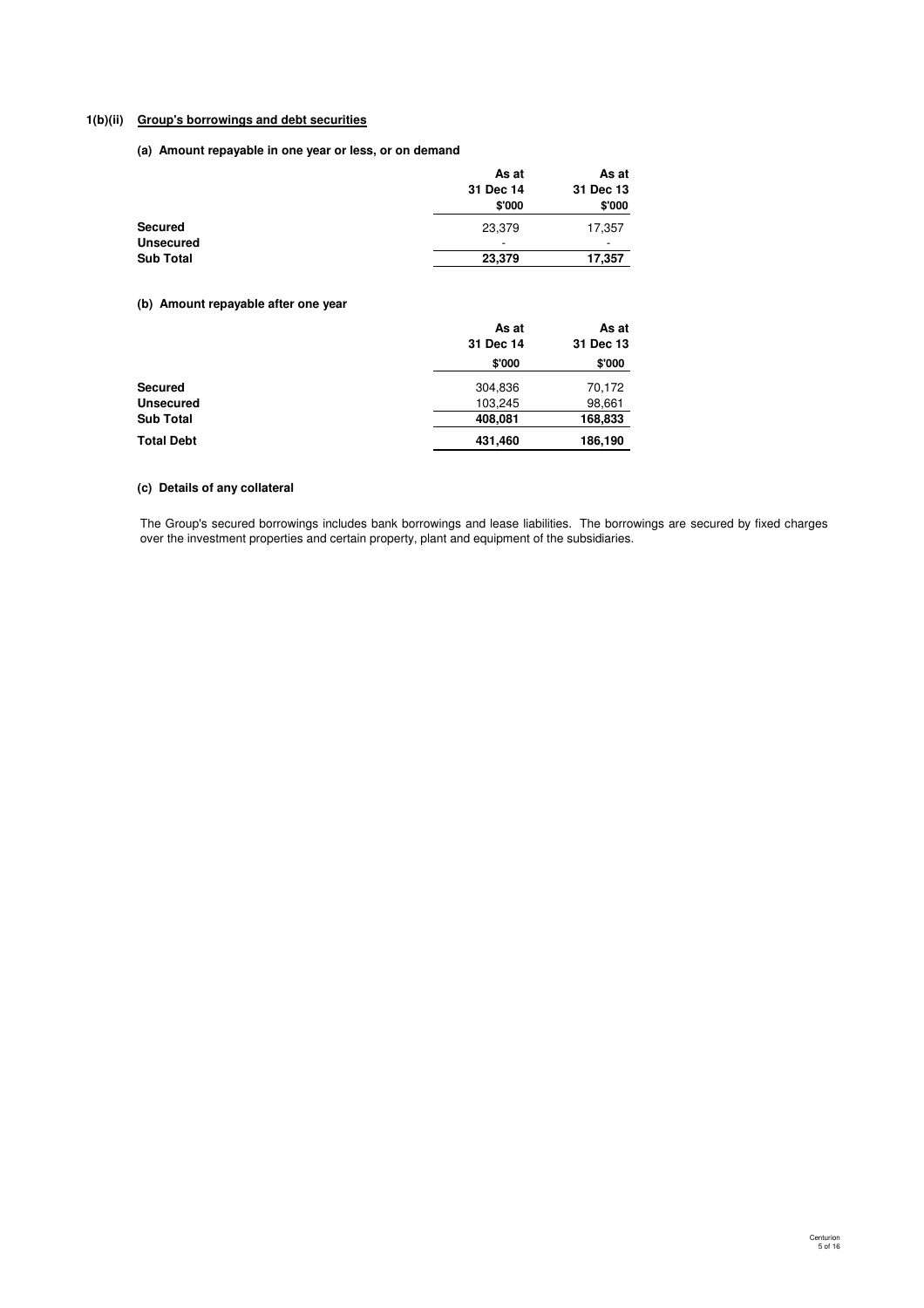# **1(b)(ii) Group's borrowings and debt securities**

**(a) Amount repayable in one year or less, or on demand**

|                  | As at     | As at     |
|------------------|-----------|-----------|
|                  | 31 Dec 14 | 31 Dec 13 |
|                  | \$'000    | \$'000    |
| <b>Secured</b>   | 23,379    | 17,357    |
| <b>Unsecured</b> | ۰         | -         |
| <b>Sub Total</b> | 23,379    | 17,357    |

# **(b) Amount repayable after one year**

|                   | As at     | As at     |
|-------------------|-----------|-----------|
|                   | 31 Dec 14 | 31 Dec 13 |
|                   | \$'000    | \$'000    |
| <b>Secured</b>    | 304,836   | 70,172    |
| <b>Unsecured</b>  | 103,245   | 98,661    |
| <b>Sub Total</b>  | 408,081   | 168,833   |
| <b>Total Debt</b> | 431,460   | 186,190   |

# **(c) Details of any collateral**

The Group's secured borrowings includes bank borrowings and lease liabilities. The borrowings are secured by fixed charges over the investment properties and certain property, plant and equipment of the subsidiaries.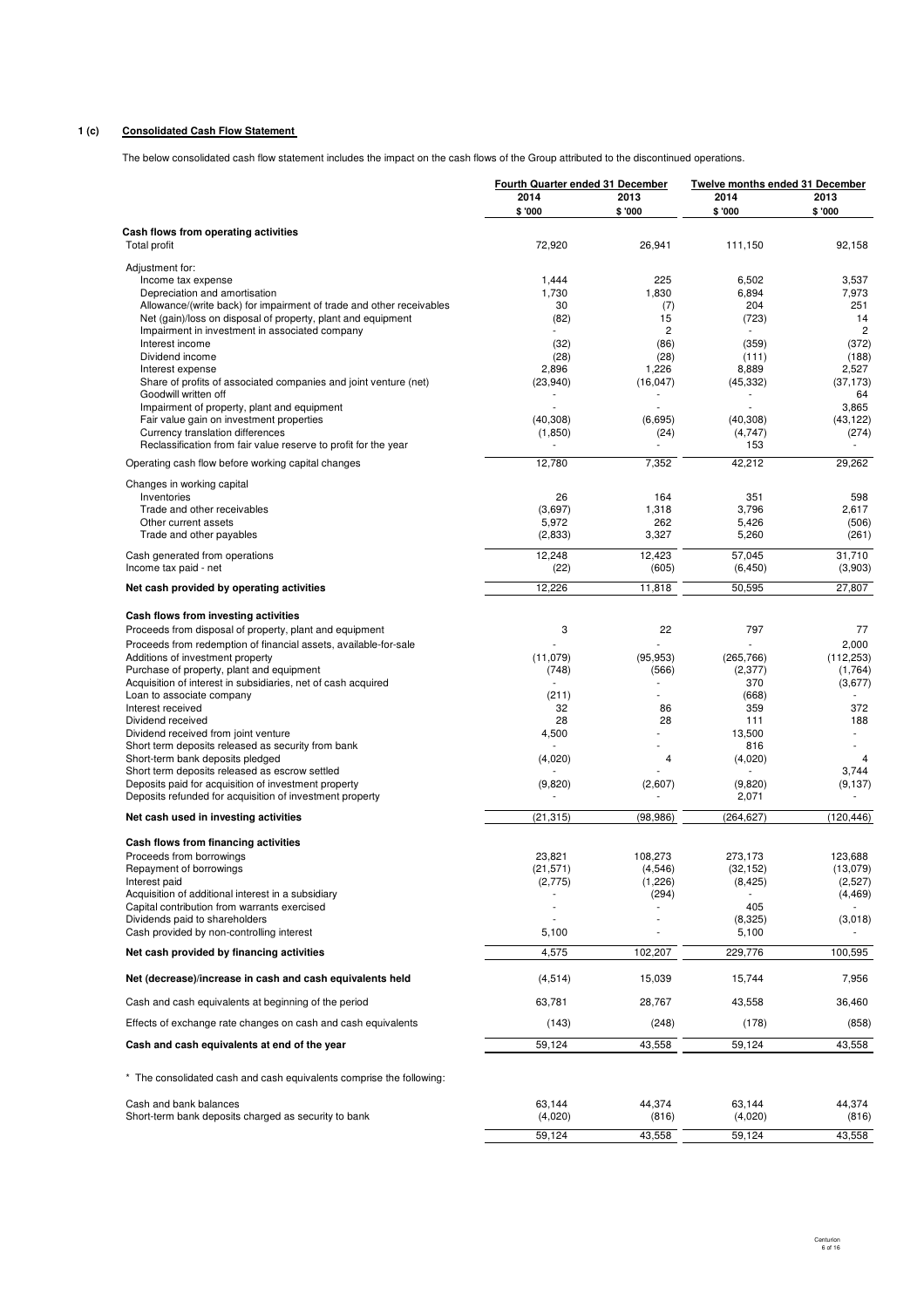# **1 (c) Consolidated Cash Flow Statement**

The below consolidated cash flow statement includes the impact on the cash flows of the Group attributed to the discontinued operations.

|                                                                                                                  | Fourth Quarter ended 31 December |                        | Twelve months ended 31 December |                         |  |
|------------------------------------------------------------------------------------------------------------------|----------------------------------|------------------------|---------------------------------|-------------------------|--|
|                                                                                                                  | 2014<br>\$ '000                  | 2013<br>\$ '000        | 2014<br>\$'000                  | 2013<br>\$'000          |  |
| Cash flows from operating activities                                                                             |                                  |                        |                                 |                         |  |
| <b>Total profit</b>                                                                                              | 72,920                           | 26,941                 | 111,150                         | 92,158                  |  |
| Adjustment for:                                                                                                  | 1,444                            | 225                    | 6,502                           |                         |  |
| Income tax expense<br>Depreciation and amortisation                                                              | 1,730                            | 1,830                  | 6,894                           | 3,537<br>7,973          |  |
| Allowance/(write back) for impairment of trade and other receivables                                             | 30                               | (7)                    | 204                             | 251                     |  |
| Net (gain)/loss on disposal of property, plant and equipment                                                     | (82)                             | 15                     | (723)                           | 14                      |  |
| Impairment in investment in associated company<br>Interest income                                                | (32)                             | $\overline{c}$<br>(86) | (359)                           | $\overline{c}$<br>(372) |  |
| Dividend income                                                                                                  | (28)                             | (28)                   | (111)                           | (188)                   |  |
| Interest expense                                                                                                 | 2,896                            | 1,226                  | 8,889                           | 2,527                   |  |
| Share of profits of associated companies and joint venture (net)                                                 | (23,940)                         | (16, 047)              | (45, 332)                       | (37, 173)               |  |
| Goodwill written off<br>Impairment of property, plant and equipment                                              |                                  |                        | ä,                              | 64<br>3,865             |  |
| Fair value gain on investment properties                                                                         | (40, 308)                        | (6,695)                | (40, 308)                       | (43, 122)               |  |
| Currency translation differences                                                                                 | (1, 850)                         | (24)                   | (4,747)                         | (274)                   |  |
| Reclassification from fair value reserve to profit for the year                                                  |                                  |                        | 153                             |                         |  |
| Operating cash flow before working capital changes                                                               | 12,780                           | 7,352                  | 42,212                          | 29,262                  |  |
| Changes in working capital<br>Inventories                                                                        | 26                               | 164                    | 351                             | 598                     |  |
| Trade and other receivables                                                                                      | (3,697)                          | 1,318                  | 3,796                           | 2,617                   |  |
| Other current assets                                                                                             | 5,972                            | 262                    | 5,426                           | (506)                   |  |
| Trade and other payables                                                                                         | (2,833)                          | 3,327                  | 5,260                           | (261)                   |  |
| Cash generated from operations                                                                                   | 12,248                           | 12,423                 | 57,045                          | 31,710                  |  |
| Income tax paid - net                                                                                            | (22)                             | (605)                  | (6, 450)                        | (3,903)                 |  |
| Net cash provided by operating activities                                                                        | 12,226                           | 11,818                 | 50,595                          | 27,807                  |  |
| Cash flows from investing activities                                                                             |                                  |                        |                                 |                         |  |
| Proceeds from disposal of property, plant and equipment                                                          | 3                                | 22                     | 797                             | 77                      |  |
| Proceeds from redemption of financial assets, available-for-sale                                                 |                                  |                        |                                 | 2,000                   |  |
| Additions of investment property<br>Purchase of property, plant and equipment                                    | (11,079)<br>(748)                | (95, 953)<br>(566)     | (265, 766)<br>(2, 377)          | (112, 253)<br>(1,764)   |  |
| Acquisition of interest in subsidiaries, net of cash acquired                                                    |                                  |                        | 370                             | (3,677)                 |  |
| Loan to associate company                                                                                        | (211)                            |                        | (668)                           |                         |  |
| Interest received                                                                                                | 32                               | 86                     | 359                             | 372                     |  |
| Dividend received<br>Dividend received from joint venture                                                        | 28<br>4,500                      | 28                     | 111<br>13,500                   | 188<br>٠                |  |
| Short term deposits released as security from bank                                                               |                                  |                        | 816                             |                         |  |
| Short-term bank deposits pledged                                                                                 | (4,020)                          | 4                      | (4,020)                         | 4                       |  |
| Short term deposits released as escrow settled                                                                   |                                  |                        | ٠                               | 3,744                   |  |
| Deposits paid for acquisition of investment property<br>Deposits refunded for acquisition of investment property | (9,820)                          | (2,607)                | (9,820)<br>2,071                | (9, 137)                |  |
| Net cash used in investing activities                                                                            | (21, 315)                        | (98, 986)              | (264, 627)                      | (120, 446)              |  |
| Cash flows from financing activities                                                                             |                                  |                        |                                 |                         |  |
| Proceeds from borrowings                                                                                         | 23,821                           | 108.273                | 273,173                         | 123,688                 |  |
| Repayment of borrowings                                                                                          | (21, 571)                        | (4,546)                | (32, 152)                       | (13,079)                |  |
| Interest paid                                                                                                    | (2,775)                          | (1,226)                | (8, 425)                        | (2,527)                 |  |
| Acquisition of additional interest in a subsidiary<br>Capital contribution from warrants exercised               |                                  | (294)                  | 405                             | (4, 469)                |  |
| Dividends paid to shareholders                                                                                   |                                  |                        | (8,325)                         | (3,018)                 |  |
| Cash provided by non-controlling interest                                                                        | 5,100                            |                        | 5,100                           |                         |  |
| Net cash provided by financing activities                                                                        | 4,575                            | 102,207                | 229,776                         | 100,595                 |  |
| Net (decrease)/increase in cash and cash equivalents held                                                        | (4, 514)                         | 15,039                 | 15,744                          | 7,956                   |  |
| Cash and cash equivalents at beginning of the period                                                             | 63,781                           | 28,767                 | 43,558                          | 36,460                  |  |
| Effects of exchange rate changes on cash and cash equivalents                                                    | (143)                            | (248)                  | (178)                           | (858)                   |  |
| Cash and cash equivalents at end of the year                                                                     | 59,124                           | 43,558                 | 59,124                          | 43,558                  |  |
|                                                                                                                  |                                  |                        |                                 |                         |  |
| * The consolidated cash and cash equivalents comprise the following:                                             |                                  |                        |                                 |                         |  |
| Cash and bank balances                                                                                           | 63,144                           | 44,374                 | 63,144                          | 44,374                  |  |
| Short-term bank deposits charged as security to bank                                                             | (4,020)                          | (816)                  | (4,020)                         | (816)                   |  |
|                                                                                                                  | 59,124                           | 43,558                 | 59,124                          | 43,558                  |  |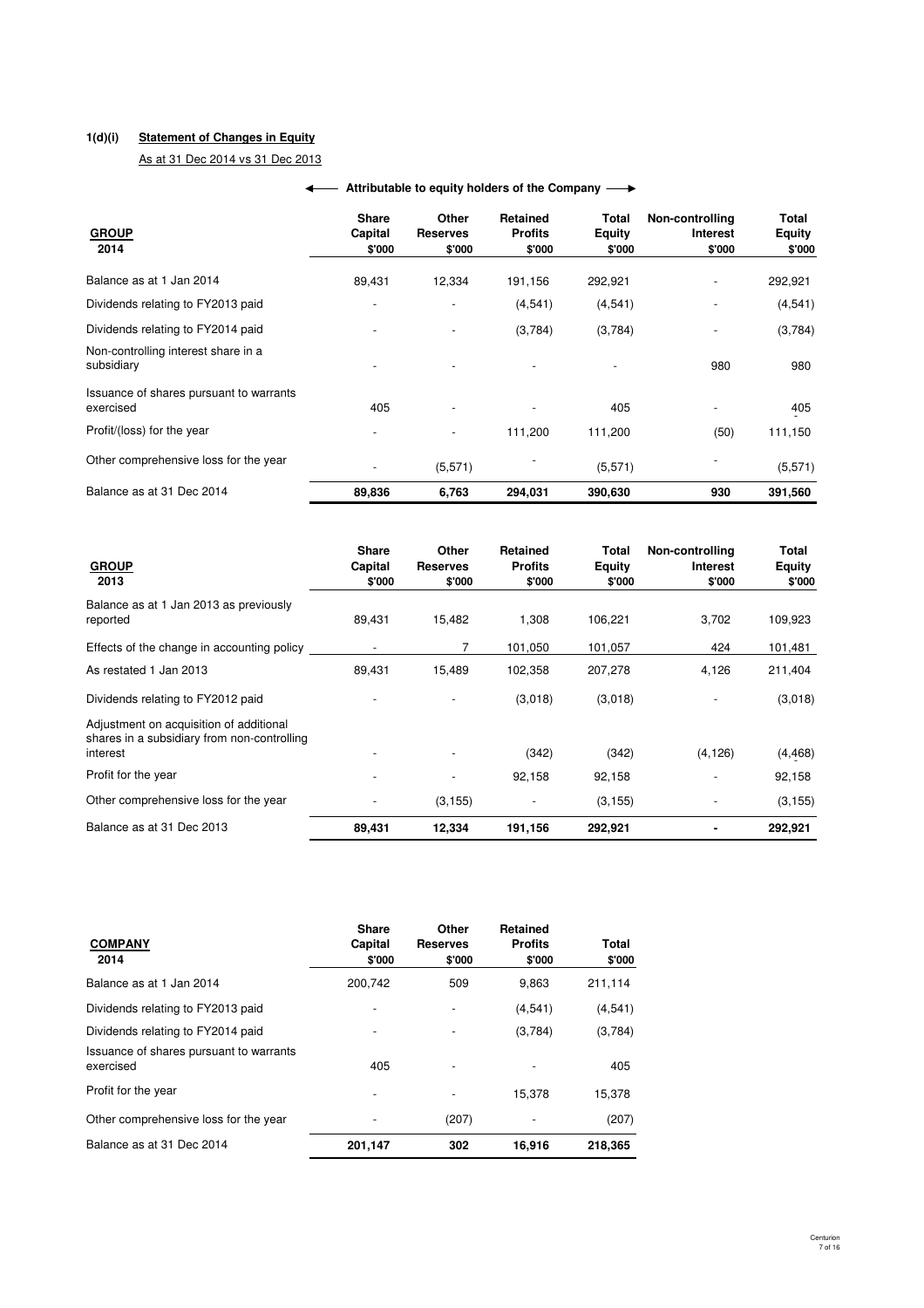# **1(d)(i) Statement of Changes in Equity**

As at 31 Dec 2014 vs 31 Dec 2013

| <b>GROUP</b><br>2014                                 | <b>Share</b><br>Capital<br>\$'000 | Other<br><b>Reserves</b><br>\$'000 | Retained<br><b>Profits</b><br>\$'000 | Total<br><b>Equity</b><br>\$'000 | Non-controlling<br>Interest<br>\$'000 | Total<br><b>Equity</b><br>\$'000 |
|------------------------------------------------------|-----------------------------------|------------------------------------|--------------------------------------|----------------------------------|---------------------------------------|----------------------------------|
| Balance as at 1 Jan 2014                             | 89,431                            | 12,334                             | 191,156                              | 292,921                          | $\overline{\phantom{a}}$              | 292,921                          |
| Dividends relating to FY2013 paid                    |                                   | $\overline{\phantom{a}}$           | (4,541)                              | (4,541)                          | $\overline{a}$                        | (4, 541)                         |
| Dividends relating to FY2014 paid                    |                                   |                                    | (3,784)                              | (3,784)                          |                                       | (3,784)                          |
| Non-controlling interest share in a<br>subsidiary    |                                   |                                    |                                      |                                  | 980                                   | 980                              |
| Issuance of shares pursuant to warrants<br>exercised | 405                               |                                    |                                      | 405                              | -                                     | 405                              |
| Profit/(loss) for the year                           |                                   |                                    | 111,200                              | 111,200                          | (50)                                  | 111,150                          |
| Other comprehensive loss for the year                |                                   | (5, 571)                           |                                      | (5,571)                          |                                       | (5,571)                          |
| Balance as at 31 Dec 2014                            | 89,836                            | 6,763                              | 294,031                              | 390,630                          | 930                                   | 391,560                          |

# **← Attributable to equity holders of the Company**

| <b>GROUP</b><br>2013                                                                               | <b>Share</b><br>Capital<br>\$'000 | Other<br><b>Reserves</b><br>\$'000 | Retained<br><b>Profits</b><br>\$'000 | Total<br>Equity<br>\$'000 | Non-controlling<br>Interest<br>\$'000 | Total<br><b>Equity</b><br>\$'000 |
|----------------------------------------------------------------------------------------------------|-----------------------------------|------------------------------------|--------------------------------------|---------------------------|---------------------------------------|----------------------------------|
| Balance as at 1 Jan 2013 as previously<br>reported                                                 | 89,431                            | 15,482                             | 1,308                                | 106,221                   | 3,702                                 | 109,923                          |
| Effects of the change in accounting policy                                                         | $\overline{\phantom{a}}$          |                                    | 101,050                              | 101,057                   | 424                                   | 101,481                          |
| As restated 1 Jan 2013                                                                             | 89,431                            | 15,489                             | 102,358                              | 207,278                   | 4,126                                 | 211,404                          |
| Dividends relating to FY2012 paid                                                                  |                                   |                                    | (3,018)                              | (3,018)                   |                                       | (3,018)                          |
| Adjustment on acquisition of additional<br>shares in a subsidiary from non-controlling<br>interest |                                   |                                    | (342)                                | (342)                     | (4, 126)                              | (4, 468)                         |
| Profit for the year                                                                                |                                   |                                    | 92,158                               | 92,158                    |                                       | 92,158                           |
| Other comprehensive loss for the year                                                              |                                   | (3, 155)                           |                                      | (3, 155)                  |                                       | (3, 155)                         |
| Balance as at 31 Dec 2013                                                                          | 89,431                            | 12.334                             | 191,156                              | 292,921                   |                                       | 292,921                          |

| <b>COMPANY</b><br>2014                               | <b>Share</b><br>Capital<br>\$'000 | Other<br><b>Reserves</b><br>\$'000 | <b>Retained</b><br><b>Profits</b><br>\$'000 | Total<br>\$'000 |
|------------------------------------------------------|-----------------------------------|------------------------------------|---------------------------------------------|-----------------|
| Balance as at 1 Jan 2014                             | 200.742                           | 509                                | 9.863                                       | 211,114         |
| Dividends relating to FY2013 paid                    |                                   |                                    | (4,541)                                     | (4, 541)        |
| Dividends relating to FY2014 paid                    |                                   |                                    | (3,784)                                     | (3,784)         |
| Issuance of shares pursuant to warrants<br>exercised | 405                               |                                    |                                             | 405             |
| Profit for the year                                  |                                   |                                    | 15.378                                      | 15,378          |
| Other comprehensive loss for the year                |                                   | (207)                              |                                             | (207)           |
| Balance as at 31 Dec 2014                            | 201,147                           | 302                                | 16.916                                      | 218,365         |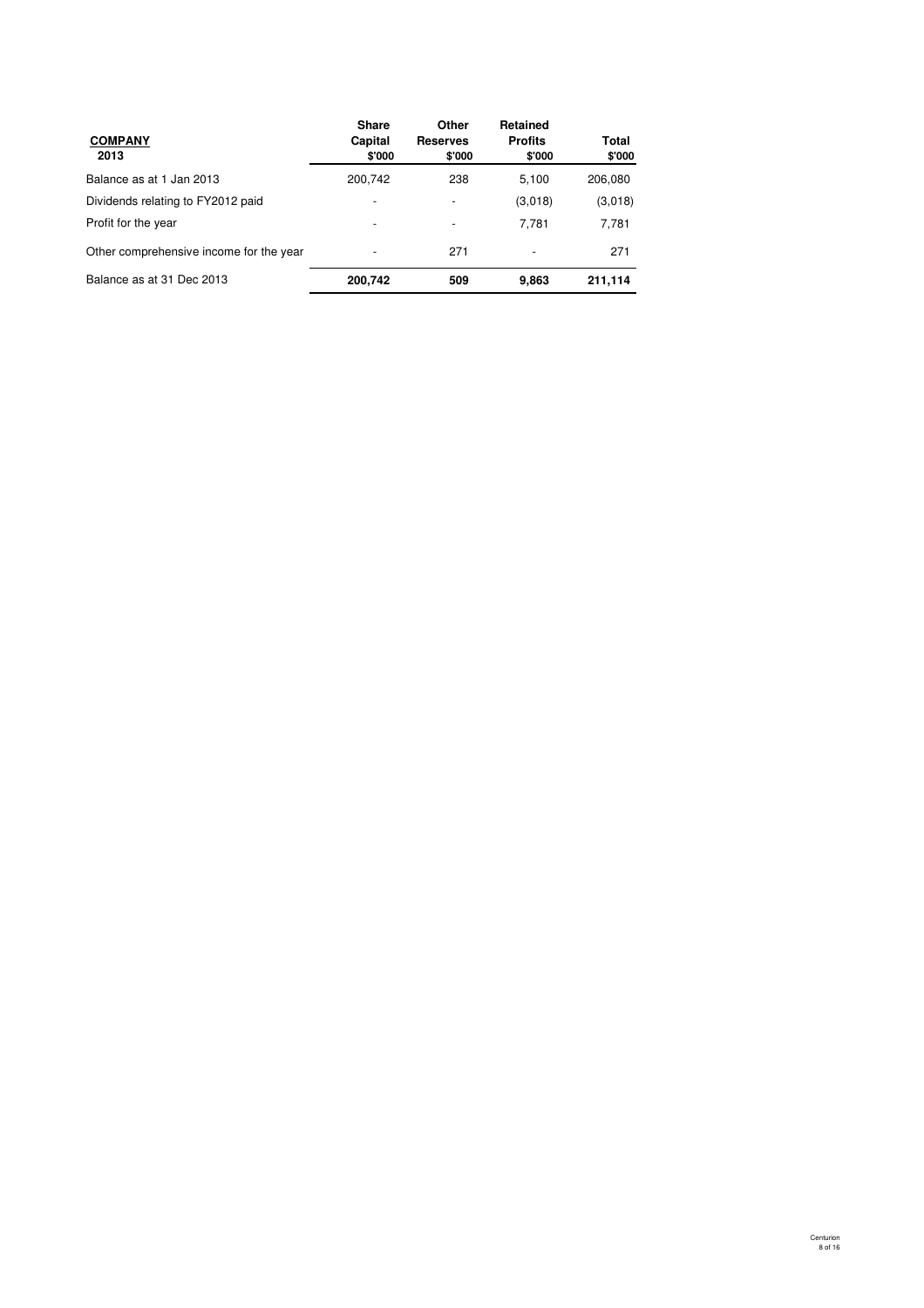| <b>COMPANY</b><br>2013                  | <b>Share</b><br>Capital<br>\$'000 | Other<br><b>Reserves</b><br>\$'000 | Retained<br><b>Profits</b><br>\$'000 | Total<br>\$'000 |
|-----------------------------------------|-----------------------------------|------------------------------------|--------------------------------------|-----------------|
| Balance as at 1 Jan 2013                | 200,742                           | 238                                | 5,100                                | 206,080         |
| Dividends relating to FY2012 paid       |                                   |                                    | (3,018)                              | (3,018)         |
| Profit for the year                     |                                   |                                    | 7.781                                | 7,781           |
| Other comprehensive income for the year |                                   | 271                                | $\overline{\phantom{a}}$             | 271             |
| Balance as at 31 Dec 2013               | 200,742                           | 509                                | 9,863                                | 211,114         |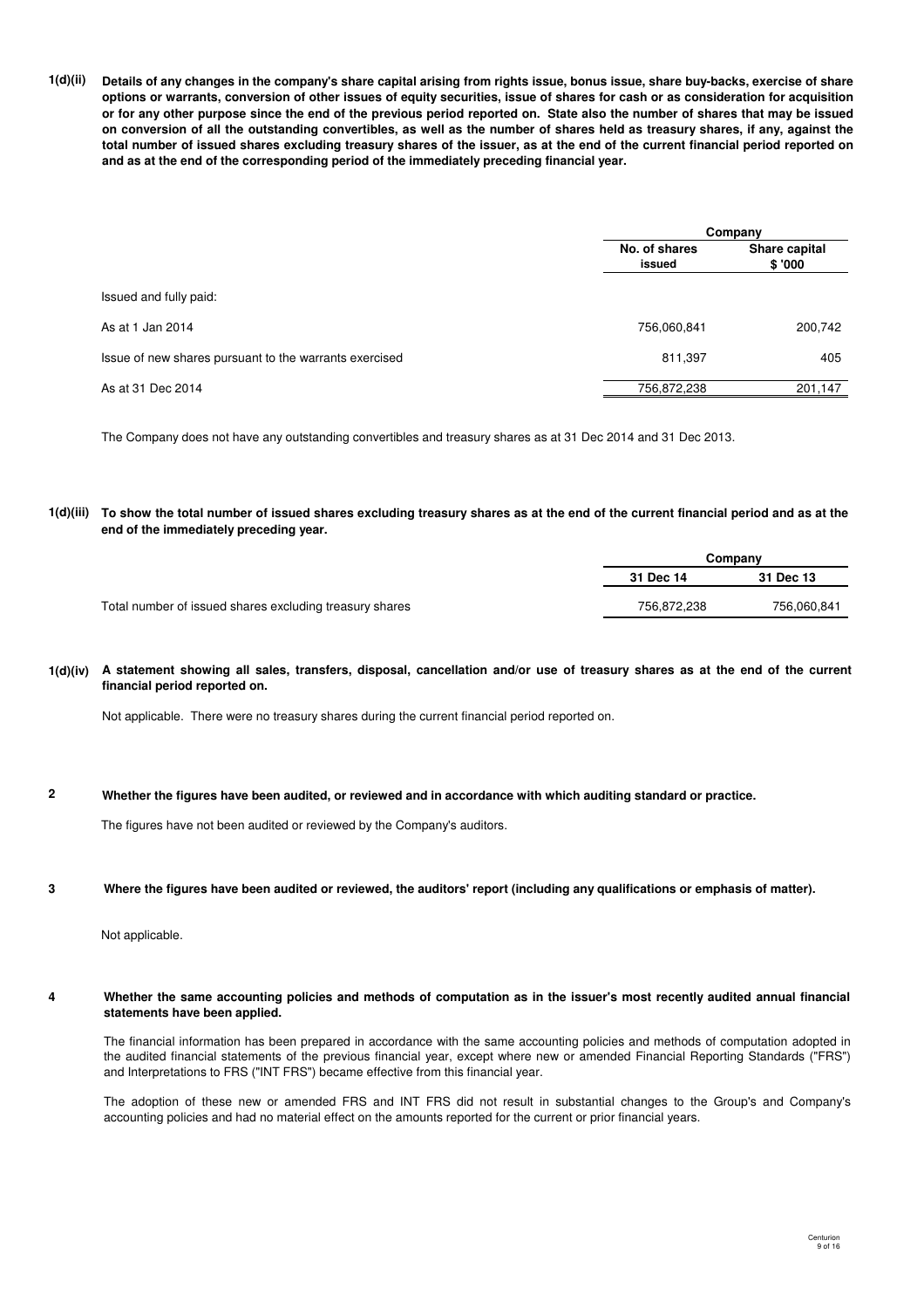**1(d)(ii) Details of any changes in the company's share capital arising from rights issue, bonus issue, share buy-backs, exercise of share options or warrants, conversion of other issues of equity securities, issue of shares for cash or as consideration for acquisition or for any other purpose since the end of the previous period reported on. State also the number of shares that may be issued on conversion of all the outstanding convertibles, as well as the number of shares held as treasury shares, if any, against the total number of issued shares excluding treasury shares of the issuer, as at the end of the current financial period reported on and as at the end of the corresponding period of the immediately preceding financial year.**

|                                                        | Company                 |                         |  |
|--------------------------------------------------------|-------------------------|-------------------------|--|
|                                                        | No. of shares<br>issued | Share capital<br>\$'000 |  |
| Issued and fully paid:                                 |                         |                         |  |
| As at 1 Jan 2014                                       | 756,060,841             | 200,742                 |  |
| Issue of new shares pursuant to the warrants exercised | 811,397                 | 405                     |  |
| As at 31 Dec 2014                                      | 756,872,238             | 201,147                 |  |

The Company does not have any outstanding convertibles and treasury shares as at 31 Dec 2014 and 31 Dec 2013.

#### **1(d)(iii) To show the total number of issued shares excluding treasury shares as at the end of the current financial period and as at the end of the immediately preceding year.**

|                                                         | Companv     |             |  |
|---------------------------------------------------------|-------------|-------------|--|
|                                                         | 31 Dec 14   | 31 Dec 13   |  |
| Total number of issued shares excluding treasury shares | 756.872.238 | 756.060.841 |  |

#### **1(d)(iv) A statement showing all sales, transfers, disposal, cancellation and/or use of treasury shares as at the end of the current financial period reported on.**

Not applicable. There were no treasury shares during the current financial period reported on.

#### **2 Whether the figures have been audited, or reviewed and in accordance with which auditing standard or practice.**

The figures have not been audited or reviewed by the Company's auditors.

#### **3 Where the figures have been audited or reviewed, the auditors' report (including any qualifications or emphasis of matter).**

Not applicable.

#### **4 Whether the same accounting policies and methods of computation as in the issuer's most recently audited annual financial statements have been applied.**

The financial information has been prepared in accordance with the same accounting policies and methods of computation adopted in the audited financial statements of the previous financial year, except where new or amended Financial Reporting Standards ("FRS") and Interpretations to FRS ("INT FRS") became effective from this financial year.

The adoption of these new or amended FRS and INT FRS did not result in substantial changes to the Group's and Company's accounting policies and had no material effect on the amounts reported for the current or prior financial years.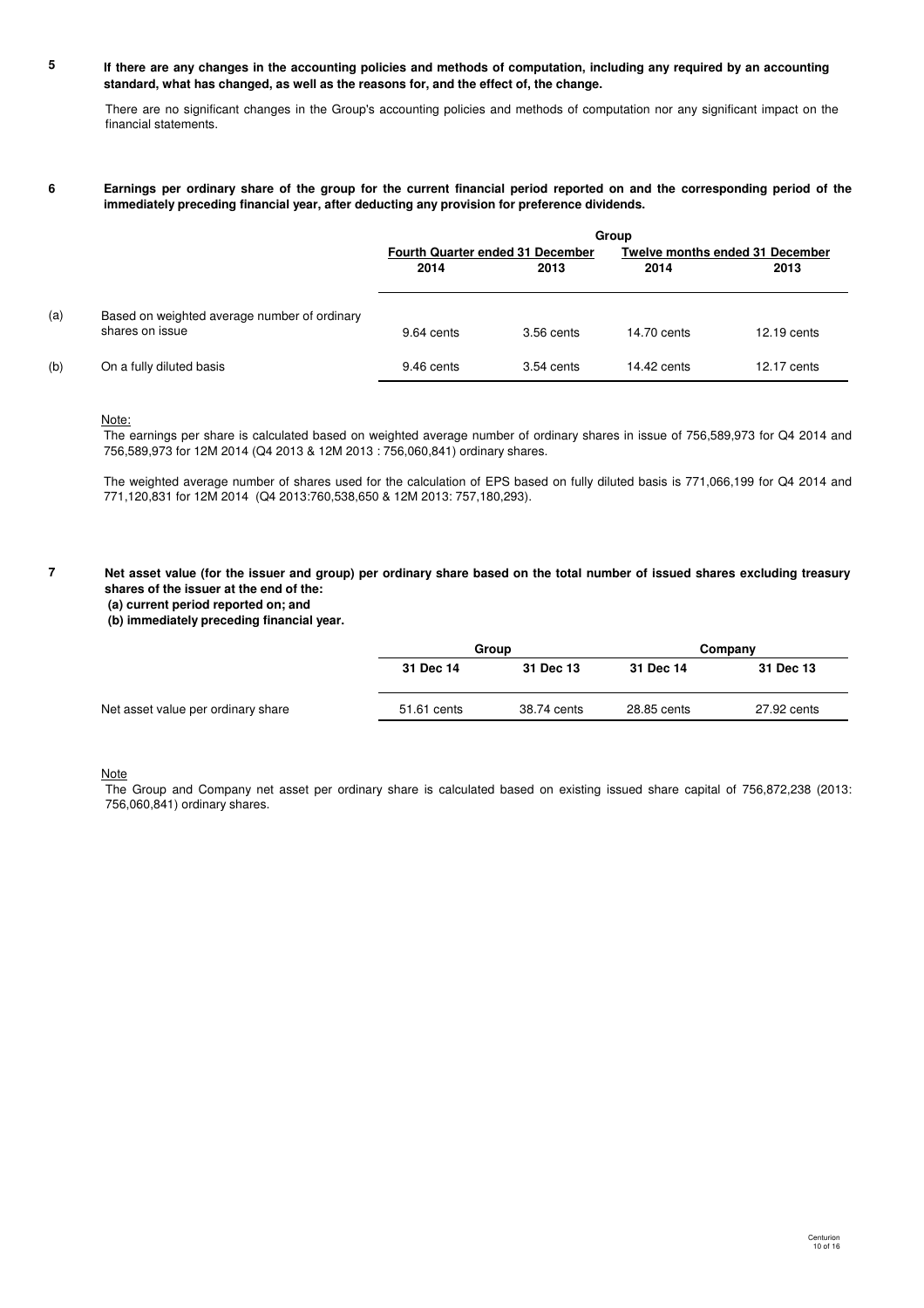#### **5 If there are any changes in the accounting policies and methods of computation, including any required by an accounting standard, what has changed, as well as the reasons for, and the effect of, the change.**

There are no significant changes in the Group's accounting policies and methods of computation nor any significant impact on the financial statements.

#### **6 Earnings per ordinary share of the group for the current financial period reported on and the corresponding period of the immediately preceding financial year, after deducting any provision for preference dividends.**

|     |                                                                 | Group                                   |              |                                        |             |
|-----|-----------------------------------------------------------------|-----------------------------------------|--------------|----------------------------------------|-------------|
|     |                                                                 | <b>Fourth Quarter ended 31 December</b> |              | <b>Twelve months ended 31 December</b> |             |
|     |                                                                 | 2014                                    | 2013         | 2014                                   | 2013        |
| (a) | Based on weighted average number of ordinary<br>shares on issue | 9.64 cents                              | $3.56$ cents | 14.70 cents                            | 12.19 cents |
| (b) | On a fully diluted basis                                        | 9.46 cents                              | $3.54$ cents | $14.42$ cents                          | 12.17 cents |

#### Note:

**7**

The earnings per share is calculated based on weighted average number of ordinary shares in issue of 756,589,973 for Q4 2014 and 756,589,973 for 12M 2014 (Q4 2013 & 12M 2013 : 756,060,841) ordinary shares.

The weighted average number of shares used for the calculation of EPS based on fully diluted basis is 771,066,199 for Q4 2014 and 771,120,831 for 12M 2014 (Q4 2013:760,538,650 & 12M 2013: 757,180,293).

#### **Net asset value (for the issuer and group) per ordinary share based on the total number of issued shares excluding treasury shares of the issuer at the end of the:**

 **(a) current period reported on; and**

 **(b) immediately preceding financial year.**

|                                    | Group       |             | Company     |             |
|------------------------------------|-------------|-------------|-------------|-------------|
|                                    | 31 Dec 14   | 31 Dec 13   | 31 Dec 14   | 31 Dec 13   |
| Net asset value per ordinary share | 51.61 cents | 38.74 cents | 28.85 cents | 27.92 cents |

**Note** 

The Group and Company net asset per ordinary share is calculated based on existing issued share capital of 756,872,238 (2013: 756,060,841) ordinary shares.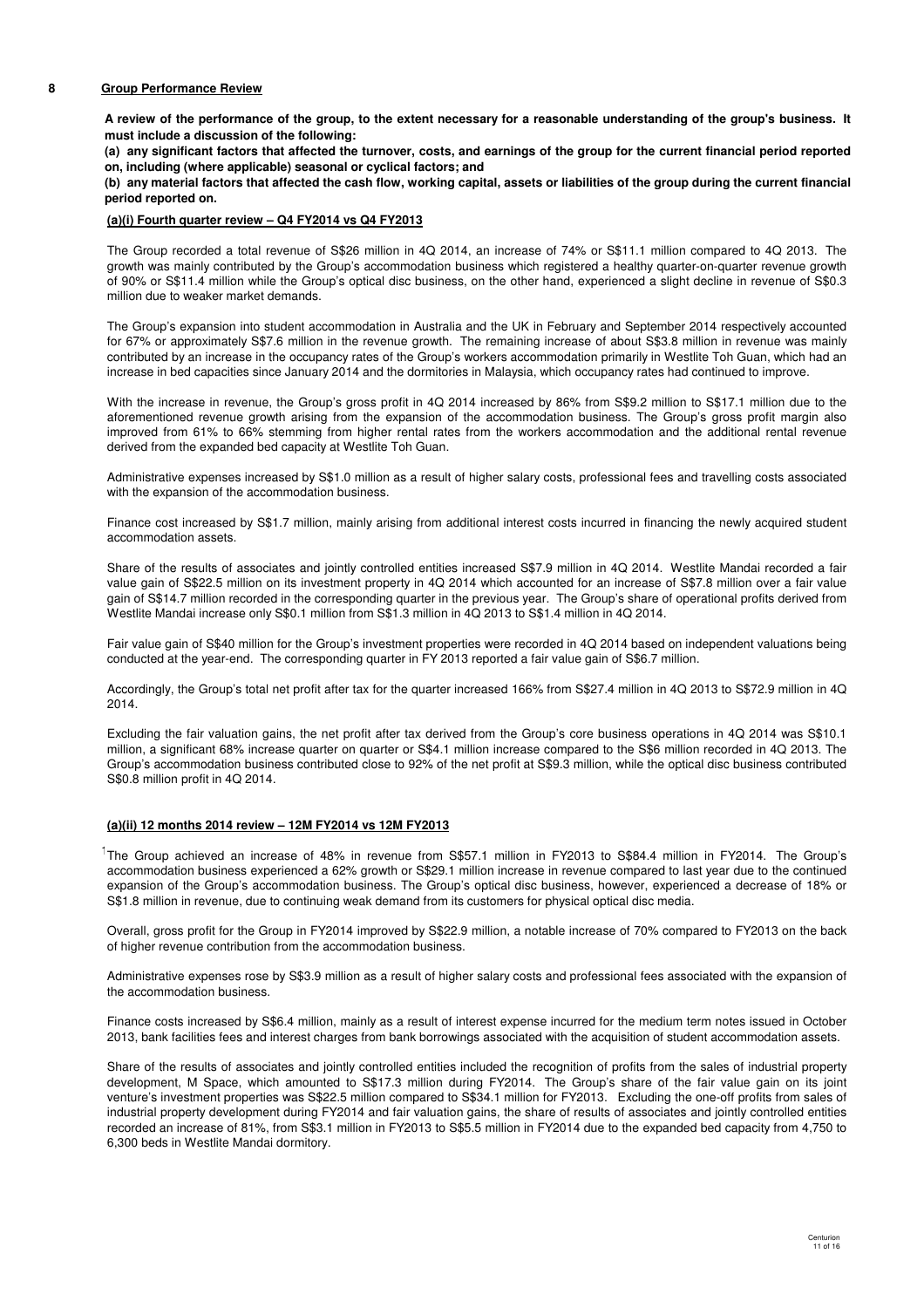#### **8 Group Performance Review**

**A review of the performance of the group, to the extent necessary for a reasonable understanding of the group's business. It must include a discussion of the following:**

**(a) any significant factors that affected the turnover, costs, and earnings of the group for the current financial period reported on, including (where applicable) seasonal or cyclical factors; and**

**(b) any material factors that affected the cash flow, working capital, assets or liabilities of the group during the current financial period reported on.**

#### **(a)(i) Fourth quarter review – Q4 FY2014 vs Q4 FY2013**

The Group recorded a total revenue of S\$26 million in 4Q 2014, an increase of 74% or S\$11.1 million compared to 4Q 2013. The growth was mainly contributed by the Group's accommodation business which registered a healthy quarter-on-quarter revenue growth of 90% or S\$11.4 million while the Group's optical disc business, on the other hand, experienced a slight decline in revenue of S\$0.3 million due to weaker market demands.

The Group's expansion into student accommodation in Australia and the UK in February and September 2014 respectively accounted for 67% or approximately S\$7.6 million in the revenue growth. The remaining increase of about S\$3.8 million in revenue was mainly contributed by an increase in the occupancy rates of the Group's workers accommodation primarily in Westlite Toh Guan, which had an increase in bed capacities since January 2014 and the dormitories in Malaysia, which occupancy rates had continued to improve.

With the increase in revenue, the Group's gross profit in 4Q 2014 increased by 86% from S\$9.2 million to S\$17.1 million due to the aforementioned revenue growth arising from the expansion of the accommodation business. The Group's gross profit margin also improved from 61% to 66% stemming from higher rental rates from the workers accommodation and the additional rental revenue derived from the expanded bed capacity at Westlite Toh Guan.

Administrative expenses increased by S\$1.0 million as a result of higher salary costs, professional fees and travelling costs associated with the expansion of the accommodation business.

Finance cost increased by S\$1.7 million, mainly arising from additional interest costs incurred in financing the newly acquired student accommodation assets.

Share of the results of associates and jointly controlled entities increased S\$7.9 million in 4Q 2014. Westlite Mandai recorded a fair value gain of S\$22.5 million on its investment property in 4Q 2014 which accounted for an increase of S\$7.8 million over a fair value gain of S\$14.7 million recorded in the corresponding quarter in the previous year. The Group's share of operational profits derived from Westlite Mandai increase only S\$0.1 million from S\$1.3 million in 4Q 2013 to S\$1.4 million in 4Q 2014.

Fair value gain of S\$40 million for the Group's investment properties were recorded in 4Q 2014 based on independent valuations being conducted at the year-end. The corresponding quarter in FY 2013 reported a fair value gain of S\$6.7 million.

Accordingly, the Group's total net profit after tax for the quarter increased 166% from S\$27.4 million in 4Q 2013 to S\$72.9 million in 4Q 2014.

Excluding the fair valuation gains, the net profit after tax derived from the Group's core business operations in 4Q 2014 was S\$10.1 million, a significant 68% increase quarter on quarter or S\$4.1 million increase compared to the S\$6 million recorded in 4Q 2013. The Group's accommodation business contributed close to 92% of the net profit at S\$9.3 million, while the optical disc business contributed S\$0.8 million profit in 4Q 2014.

### **(a)(ii) 12 months 2014 review – 12M FY2014 vs 12M FY2013**

<sup>1</sup>The Group achieved an increase of 48% in revenue from S\$57.1 million in FY2013 to S\$84.4 million in FY2014. The Group's accommodation business experienced a 62% growth or S\$29.1 million increase in revenue compared to last year due to the continued expansion of the Group's accommodation business. The Group's optical disc business, however, experienced a decrease of 18% or S\$1.8 million in revenue, due to continuing weak demand from its customers for physical optical disc media.

Overall, gross profit for the Group in FY2014 improved by S\$22.9 million, a notable increase of 70% compared to FY2013 on the back of higher revenue contribution from the accommodation business.

Administrative expenses rose by S\$3.9 million as a result of higher salary costs and professional fees associated with the expansion of the accommodation business.

Finance costs increased by S\$6.4 million, mainly as a result of interest expense incurred for the medium term notes issued in October 2013, bank facilities fees and interest charges from bank borrowings associated with the acquisition of student accommodation assets.

Share of the results of associates and jointly controlled entities included the recognition of profits from the sales of industrial property development, M Space, which amounted to S\$17.3 million during FY2014. The Group's share of the fair value gain on its joint venture's investment properties was S\$22.5 million compared to S\$34.1 million for FY2013. Excluding the one-off profits from sales of industrial property development during FY2014 and fair valuation gains, the share of results of associates and jointly controlled entities recorded an increase of 81%, from S\$3.1 million in FY2013 to S\$5.5 million in FY2014 due to the expanded bed capacity from 4,750 to 6,300 beds in Westlite Mandai dormitory.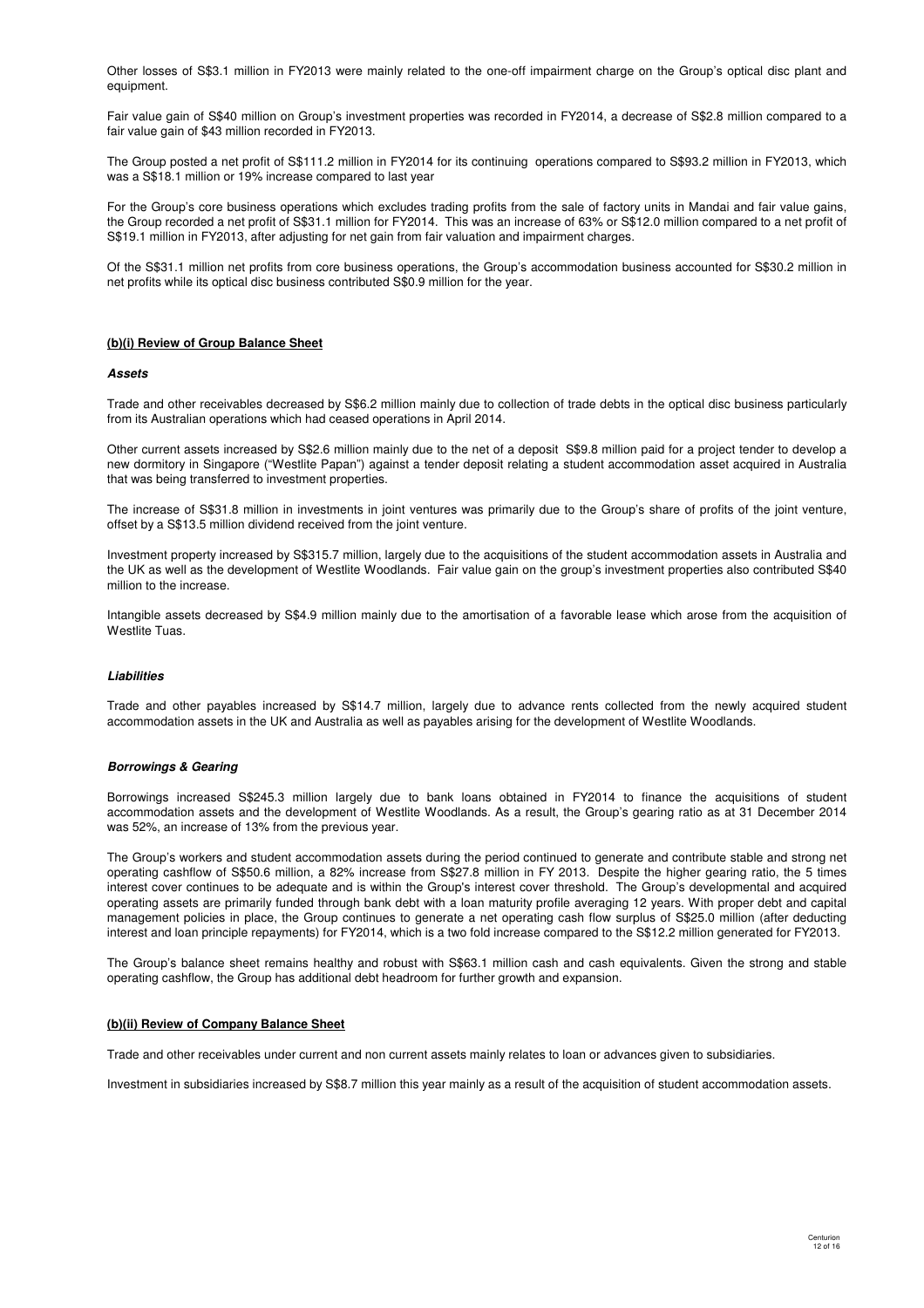Other losses of S\$3.1 million in FY2013 were mainly related to the one-off impairment charge on the Group's optical disc plant and equipment.

Fair value gain of S\$40 million on Group's investment properties was recorded in FY2014, a decrease of S\$2.8 million compared to a fair value gain of \$43 million recorded in FY2013.

The Group posted a net profit of S\$111.2 million in FY2014 for its continuing operations compared to S\$93.2 million in FY2013, which was a S\$18.1 million or 19% increase compared to last year

For the Group's core business operations which excludes trading profits from the sale of factory units in Mandai and fair value gains, the Group recorded a net profit of S\$31.1 million for FY2014. This was an increase of 63% or S\$12.0 million compared to a net profit of S\$19.1 million in FY2013, after adjusting for net gain from fair valuation and impairment charges.

Of the S\$31.1 million net profits from core business operations, the Group's accommodation business accounted for S\$30.2 million in net profits while its optical disc business contributed S\$0.9 million for the year.

#### **(b)(i) Review of Group Balance Sheet**

#### **Assets**

Trade and other receivables decreased by S\$6.2 million mainly due to collection of trade debts in the optical disc business particularly from its Australian operations which had ceased operations in April 2014.

Other current assets increased by S\$2.6 million mainly due to the net of a deposit S\$9.8 million paid for a project tender to develop a new dormitory in Singapore ("Westlite Papan") against a tender deposit relating a student accommodation asset acquired in Australia that was being transferred to investment properties.

The increase of S\$31.8 million in investments in joint ventures was primarily due to the Group's share of profits of the joint venture, offset by a S\$13.5 million dividend received from the joint venture.

Investment property increased by S\$315.7 million, largely due to the acquisitions of the student accommodation assets in Australia and the UK as well as the development of Westlite Woodlands. Fair value gain on the group's investment properties also contributed S\$40 million to the increase.

Intangible assets decreased by S\$4.9 million mainly due to the amortisation of a favorable lease which arose from the acquisition of Westlite Tuas.

#### **Liabilities**

Trade and other payables increased by S\$14.7 million, largely due to advance rents collected from the newly acquired student accommodation assets in the UK and Australia as well as payables arising for the development of Westlite Woodlands.

#### **Borrowings & Gearing**

Borrowings increased S\$245.3 million largely due to bank loans obtained in FY2014 to finance the acquisitions of student accommodation assets and the development of Westlite Woodlands. As a result, the Group's gearing ratio as at 31 December 2014 was 52%, an increase of 13% from the previous year.

The Group's workers and student accommodation assets during the period continued to generate and contribute stable and strong net operating cashflow of S\$50.6 million, a 82% increase from S\$27.8 million in FY 2013. Despite the higher gearing ratio, the 5 times interest cover continues to be adequate and is within the Group's interest cover threshold. The Group's developmental and acquired operating assets are primarily funded through bank debt with a loan maturity profile averaging 12 years. With proper debt and capital management policies in place, the Group continues to generate a net operating cash flow surplus of S\$25.0 million (after deducting interest and loan principle repayments) for FY2014, which is a two fold increase compared to the S\$12.2 million generated for FY2013.

The Group's balance sheet remains healthy and robust with S\$63.1 million cash and cash equivalents. Given the strong and stable operating cashflow, the Group has additional debt headroom for further growth and expansion.

#### **(b)(ii) Review of Company Balance Sheet**

Trade and other receivables under current and non current assets mainly relates to loan or advances given to subsidiaries.

Investment in subsidiaries increased by S\$8.7 million this year mainly as a result of the acquisition of student accommodation assets.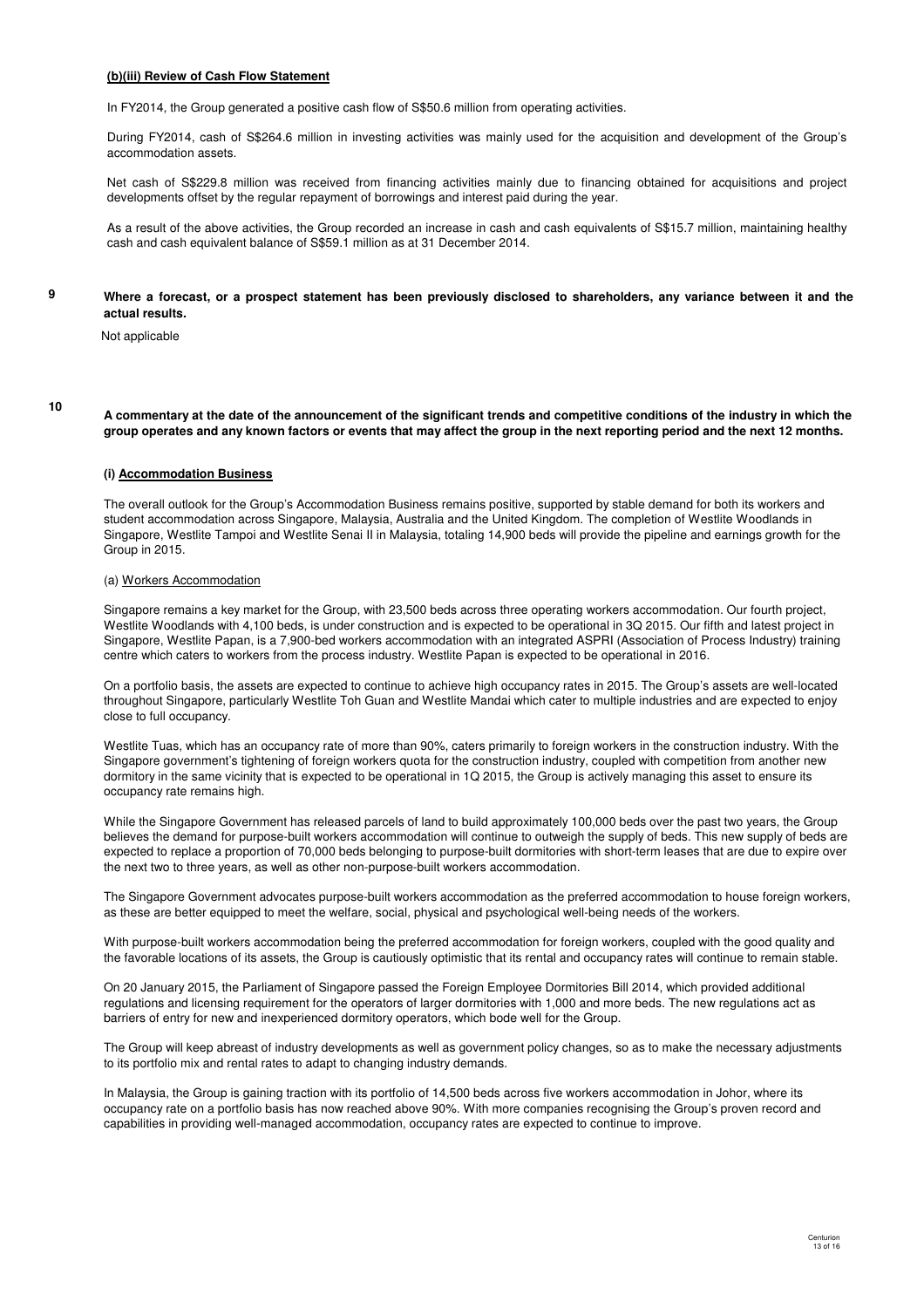#### **(b)(iii) Review of Cash Flow Statement**

In FY2014, the Group generated a positive cash flow of S\$50.6 million from operating activities.

During FY2014, cash of S\$264.6 million in investing activities was mainly used for the acquisition and development of the Group's accommodation assets.

Net cash of S\$229.8 million was received from financing activities mainly due to financing obtained for acquisitions and project developments offset by the regular repayment of borrowings and interest paid during the year.

As a result of the above activities, the Group recorded an increase in cash and cash equivalents of S\$15.7 million, maintaining healthy cash and cash equivalent balance of S\$59.1 million as at 31 December 2014.

#### **Where a forecast, or a prospect statement has been previously disclosed to shareholders, any variance between it and the actual results.**

Not applicable

**10**

**9**

**A commentary at the date of the announcement of the significant trends and competitive conditions of the industry in which the group operates and any known factors or events that may affect the group in the next reporting period and the next 12 months.**

#### **(i) Accommodation Business**

The overall outlook for the Group's Accommodation Business remains positive, supported by stable demand for both its workers and student accommodation across Singapore, Malaysia, Australia and the United Kingdom. The completion of Westlite Woodlands in Singapore, Westlite Tampoi and Westlite Senai II in Malaysia, totaling 14,900 beds will provide the pipeline and earnings growth for the Group in 2015.

#### (a) Workers Accommodation

Singapore remains a key market for the Group, with 23,500 beds across three operating workers accommodation. Our fourth project, Westlite Woodlands with 4,100 beds, is under construction and is expected to be operational in 3Q 2015. Our fifth and latest project in Singapore, Westlite Papan, is a 7,900-bed workers accommodation with an integrated ASPRI (Association of Process Industry) training centre which caters to workers from the process industry. Westlite Papan is expected to be operational in 2016.

On a portfolio basis, the assets are expected to continue to achieve high occupancy rates in 2015. The Group's assets are well-located throughout Singapore, particularly Westlite Toh Guan and Westlite Mandai which cater to multiple industries and are expected to enjoy close to full occupancy.

Westlite Tuas, which has an occupancy rate of more than 90%, caters primarily to foreign workers in the construction industry. With the Singapore government's tightening of foreign workers quota for the construction industry, coupled with competition from another new dormitory in the same vicinity that is expected to be operational in 1Q 2015, the Group is actively managing this asset to ensure its occupancy rate remains high.

While the Singapore Government has released parcels of land to build approximately 100,000 beds over the past two years, the Group believes the demand for purpose-built workers accommodation will continue to outweigh the supply of beds. This new supply of beds are expected to replace a proportion of 70,000 beds belonging to purpose-built dormitories with short-term leases that are due to expire over the next two to three years, as well as other non-purpose-built workers accommodation.

The Singapore Government advocates purpose-built workers accommodation as the preferred accommodation to house foreign workers, as these are better equipped to meet the welfare, social, physical and psychological well-being needs of the workers.

With purpose-built workers accommodation being the preferred accommodation for foreign workers, coupled with the good quality and the favorable locations of its assets, the Group is cautiously optimistic that its rental and occupancy rates will continue to remain stable.

On 20 January 2015, the Parliament of Singapore passed the Foreign Employee Dormitories Bill 2014, which provided additional regulations and licensing requirement for the operators of larger dormitories with 1,000 and more beds. The new regulations act as barriers of entry for new and inexperienced dormitory operators, which bode well for the Group.

The Group will keep abreast of industry developments as well as government policy changes, so as to make the necessary adjustments to its portfolio mix and rental rates to adapt to changing industry demands.

In Malaysia, the Group is gaining traction with its portfolio of 14,500 beds across five workers accommodation in Johor, where its occupancy rate on a portfolio basis has now reached above 90%. With more companies recognising the Group's proven record and capabilities in providing well-managed accommodation, occupancy rates are expected to continue to improve.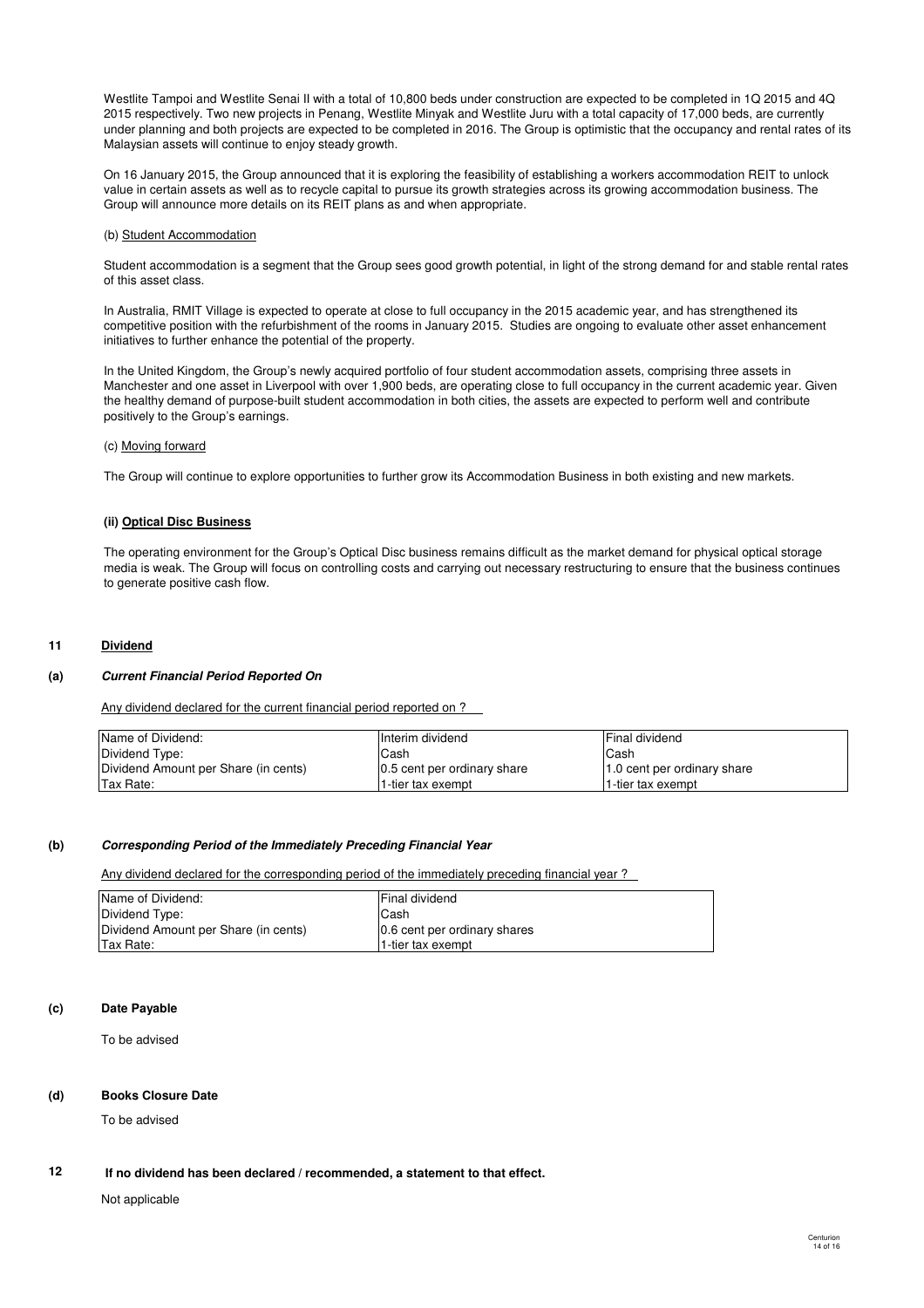Westlite Tampoi and Westlite Senai II with a total of 10,800 beds under construction are expected to be completed in 1Q 2015 and 4Q 2015 respectively. Two new projects in Penang, Westlite Minyak and Westlite Juru with a total capacity of 17,000 beds, are currently under planning and both projects are expected to be completed in 2016. The Group is optimistic that the occupancy and rental rates of its Malaysian assets will continue to enjoy steady growth.

On 16 January 2015, the Group announced that it is exploring the feasibility of establishing a workers accommodation REIT to unlock value in certain assets as well as to recycle capital to pursue its growth strategies across its growing accommodation business. The Group will announce more details on its REIT plans as and when appropriate.

#### (b) Student Accommodation

Student accommodation is a segment that the Group sees good growth potential, in light of the strong demand for and stable rental rates of this asset class.

In Australia, RMIT Village is expected to operate at close to full occupancy in the 2015 academic year, and has strengthened its competitive position with the refurbishment of the rooms in January 2015. Studies are ongoing to evaluate other asset enhancement initiatives to further enhance the potential of the property.

In the United Kingdom, the Group's newly acquired portfolio of four student accommodation assets, comprising three assets in Manchester and one asset in Liverpool with over 1,900 beds, are operating close to full occupancy in the current academic year. Given the healthy demand of purpose-built student accommodation in both cities, the assets are expected to perform well and contribute positively to the Group's earnings.

#### (c) Moving forward

The Group will continue to explore opportunities to further grow its Accommodation Business in both existing and new markets.

#### **(ii) Optical Disc Business**

The operating environment for the Group's Optical Disc business remains difficult as the market demand for physical optical storage media is weak. The Group will focus on controlling costs and carrying out necessary restructuring to ensure that the business continues to generate positive cash flow.

### **11 Dividend**

### **(a) Current Financial Period Reported On**

Any dividend declared for the current financial period reported on ?

| Name of Dividend:                    | Interim dividend            | Final dividend              |
|--------------------------------------|-----------------------------|-----------------------------|
| Dividend Type:                       | lCash                       | Cash                        |
| Dividend Amount per Share (in cents) | 0.5 cent per ordinary share | 1.0 cent per ordinary share |
| Tax Rate:                            | 1-tier tax exempt           | 1-tier tax exempt           |

#### **(b) Corresponding Period of the Immediately Preceding Financial Year**

Any dividend declared for the corresponding period of the immediately preceding financial year?

| Name of Dividend:                    | <b>Final dividend</b>        |
|--------------------------------------|------------------------------|
| Dividend Type:                       | lCash                        |
| Dividend Amount per Share (in cents) | 0.6 cent per ordinary shares |
| Tax Rate:                            | l1-tier tax exempt           |

#### **(c) Date Payable**

To be advised

#### **(d) Books Closure Date**

To be advised

#### **12 If no dividend has been declared / recommended, a statement to that effect.**

Not applicable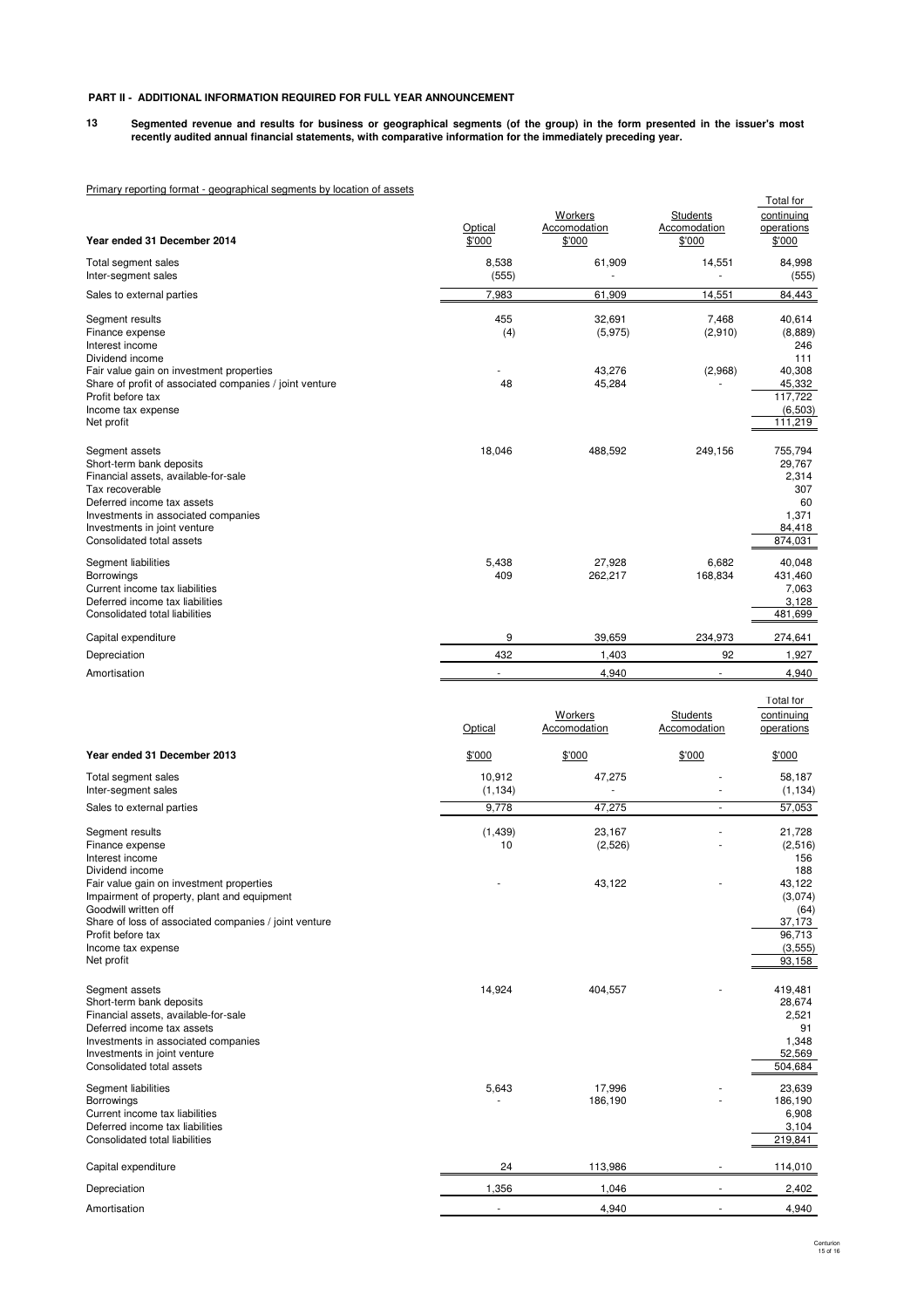### **PART II - ADDITIONAL INFORMATION REQUIRED FOR FULL YEAR ANNOUNCEMENT**

**13 Segmented revenue and results for business or geographical segments (of the group) in the form presented in the issuer's most recently audited annual financial statements, with comparative information for the immediately preceding year.**

# Primary reporting format - geographical segments by location of assets

|                                                                                                                                                                                                                                         | Optical            | Workers<br>Accomodation | Students<br>Accomodation        | Total for<br>continuing<br>operations                                 |
|-----------------------------------------------------------------------------------------------------------------------------------------------------------------------------------------------------------------------------------------|--------------------|-------------------------|---------------------------------|-----------------------------------------------------------------------|
| Year ended 31 December 2014                                                                                                                                                                                                             | \$'000             | \$'000                  | \$'000                          | \$'000                                                                |
| Total segment sales<br>Inter-segment sales                                                                                                                                                                                              | 8,538<br>(555)     | 61,909                  | 14,551                          | 84,998<br>(555)                                                       |
| Sales to external parties                                                                                                                                                                                                               | 7,983              | 61,909                  | 14,551                          | 84,443                                                                |
| Segment results<br>Finance expense<br>Interest income<br>Dividend income                                                                                                                                                                | 455<br>(4)         | 32,691<br>(5,975)       | 7,468<br>(2,910)                | 40,614<br>(8,889)<br>246<br>111                                       |
| Fair value gain on investment properties<br>Share of profit of associated companies / joint venture<br>Profit before tax<br>Income tax expense<br>Net profit                                                                            | 48                 | 43,276<br>45,284        | (2,968)                         | 40,308<br>45,332<br>117,722<br>(6, 503)<br>111,219                    |
| Segment assets<br>Short-term bank deposits<br>Financial assets, available-for-sale<br>Tax recoverable<br>Deferred income tax assets<br>Investments in associated companies<br>Investments in joint venture<br>Consolidated total assets | 18,046             | 488,592                 | 249,156                         | 755,794<br>29,767<br>2,314<br>307<br>60<br>1,371<br>84,418<br>874,031 |
| Segment liabilities<br>Borrowings<br>Current income tax liabilities<br>Deferred income tax liabilities<br>Consolidated total liabilities                                                                                                | 5,438<br>409       | 27,928<br>262,217       | 6.682<br>168,834                | 40,048<br>431,460<br>7,063<br>3,128<br>481,699                        |
| Capital expenditure                                                                                                                                                                                                                     | 9                  | 39,659                  | 234,973                         | 274,641                                                               |
| Depreciation                                                                                                                                                                                                                            | 432                | 1,403                   | 92                              | 1,927                                                                 |
| Amortisation                                                                                                                                                                                                                            | ä,                 | 4,940                   | ä,                              | 4,940                                                                 |
|                                                                                                                                                                                                                                         | Optical            | Workers<br>Accomodation | <b>Students</b><br>Accomodation | Total for<br>continuing<br>operations                                 |
| Year ended 31 December 2013                                                                                                                                                                                                             | \$'000             | \$'000                  | \$'000                          | \$'000                                                                |
| Total segment sales<br>Inter-segment sales                                                                                                                                                                                              | 10,912<br>(1, 134) | 47,275                  |                                 | 58,187<br>(1, 134)                                                    |
| Sales to external parties                                                                                                                                                                                                               | 9,778              | 47,275                  | $\overline{\phantom{a}}$        | 57,053                                                                |
| Segment results<br>Finance expense<br>Interest income                                                                                                                                                                                   | (1,439)<br>10      | 23,167<br>(2,526)       |                                 | 21,728<br>(2, 516)<br>156                                             |
| Dividend income<br>Fair value gain on investment properties<br>Impairment of property, plant and equipment<br>Goodwill written off<br>Share of loss of associated companies / joint venture                                             |                    | 43,122                  |                                 | 188<br>43,122<br>(3,074)<br>(64)<br>37,173                            |
| Profit before tax<br>Income tax expense                                                                                                                                                                                                 |                    |                         |                                 | 96,713<br>(3, 555)                                                    |
| Net profit                                                                                                                                                                                                                              |                    |                         |                                 | 93,158                                                                |
| Segment assets<br>Short-term bank deposits<br>Financial assets, available-for-sale<br>Deferred income tax assets<br>Investments in associated companies<br>Investments in joint venture<br>Consolidated total assets                    | 14,924             | 404,557                 |                                 | 419,481<br>28,674<br>2,521<br>91<br>1,348<br>52,569<br>504,684        |
| Segment liabilities<br>Borrowings<br>Current income tax liabilities<br>Deferred income tax liabilities<br>Consolidated total liabilities                                                                                                | 5,643              | 17,996<br>186,190       |                                 | 23,639<br>186,190<br>6,908<br>3,104<br>219,841                        |
|                                                                                                                                                                                                                                         |                    |                         |                                 |                                                                       |
| Capital expenditure<br>Depreciation                                                                                                                                                                                                     | 24<br>1,356        | 113,986<br>1,046        |                                 | 114,010<br>2,402                                                      |